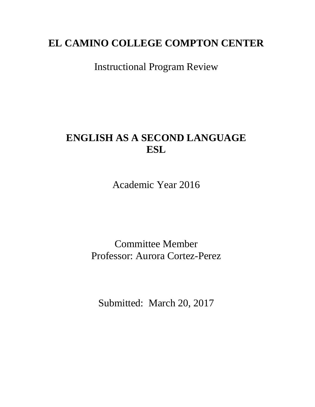# **EL CAMINO COLLEGE COMPTON CENTER**

Instructional Program Review

# **ENGLISH AS A SECOND LANGUAGE ESL**

Academic Year 2016

Committee Member Professor: Aurora Cortez-Perez

Submitted: March 20, 2017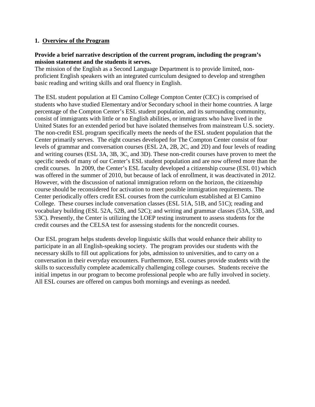#### **1. Overview of the Program**

#### **Provide a brief narrative description of the current program, including the program's mission statement and the students it serves.**

The mission of the English as a Second Language Department is to provide limited, nonproficient English speakers with an integrated curriculum designed to develop and strengthen basic reading and writing skills and oral fluency in English.

The ESL student population at El Camino College Compton Center (CEC) is comprised of students who have studied Elementary and/or Secondary school in their home countries. A large percentage of the Compton Center's ESL student population, and its surrounding community, consist of immigrants with little or no English abilities, or immigrants who have lived in the United States for an extended period but have isolated themselves from mainstream U.S. society. The non-credit ESL program specifically meets the needs of the ESL student population that the Center primarily serves. The eight courses developed for The Compton Center consist of four levels of grammar and conversation courses (ESL 2A, 2B, 2C, and 2D) and four levels of reading and writing courses (ESL 3A, 3B, 3C, and 3D). These non-credit courses have proven to meet the specific needs of many of our Center's ESL student population and are now offered more than the credit courses. In 2009, the Center's ESL faculty developed a citizenship course (ESL 01) which was offered in the summer of 2010, but because of lack of enrollment, it was deactivated in 2012. However, with the discussion of national immigration reform on the horizon, the citizenship course should be reconsidered for activation to meet possible immigration requirements. The Center periodically offers credit ESL courses from the curriculum established at El Camino College. These courses include conversation classes (ESL 51A, 51B, and 51C); reading and vocabulary building (ESL 52A, 52B, and 52C); and writing and grammar classes (53A, 53B, and 53C). Presently, the Center is utilizing the LOEP testing instrument to assess students for the credit courses and the CELSA test for assessing students for the noncredit courses.

Our ESL program helps students develop linguistic skills that would enhance their ability to participate in an all English-speaking society. The program provides our students with the necessary skills to fill out applications for jobs, admission to universities, and to carry on a conversation in their everyday encounters. Furthermore, ESL courses provide students with the skills to successfully complete academically challenging college courses. Students receive the initial impetus in our program to become professional people who are fully involved in society. All ESL courses are offered on campus both mornings and evenings as needed.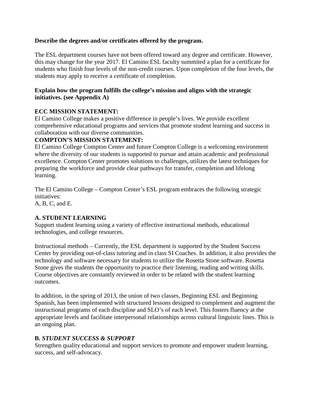#### **Describe the degrees and/or certificates offered by the program.**

The ESL department courses have not been offered toward any degree and certificate. However, this may change for the year 2017. El Camino ESL faculty summited a plan for a certificate for students who finish four levels of the non-credit courses. Upon completion of the four levels, the students may apply to receive a certificate of completion.

#### **Explain how the program fulfills the college's mission and aligns with the strategic initiatives. (see Appendix A)**

#### **ECC MISSION STATEMENT:**

El Camino College makes a positive difference in people's lives. We provide excellent comprehensive educational programs and services that promote student learning and success in collaboration with our diverse communities.

#### **COMPTON'S MISSION STATEMENT:**

El Camino College Compton Center and future Compton College is a welcoming environment where the diversity of our students is supported to pursue and attain academic and professional excellence. Compton Center promotes solutions to challenges, utilizes the latest techniques for preparing the workforce and provide clear pathways for transfer, completion and lifelong learning.

The El Camino College – Compton Center's ESL program embraces the following strategic initiatives:

A, B, C, and E.

### **A. STUDENT LEARNING**

Support student learning using a variety of effective instructional methods, educational technologies, and college resources.

Instructional methods – Currently, the ESL department is supported by the Student Success Center by providing out-of-class tutoring and in class SI Coaches. In addition, it also provides the technology and software necessary for students to utilize the Rosetta Stone software. Rosetta Stone gives the students the opportunity to practice their listening, reading and writing skills. Course objectives are constantly reviewed in order to be related with the student learning outcomes.

In addition, in the spring of 2013, the union of two classes, Beginning ESL and Beginning Spanish, has been implemented with structured lessons designed to complement and augment the instructional programs of each discipline and SLO's of each level. This fosters fluency at the appropriate levels and facilitate interpersonal relationships across cultural linguistic lines. This is an ongoing plan.

### **B.** *STUDENT SUCCESS & SUPPORT*

Strengthen quality educational and support services to promote and empower student learning, success, and self-advocacy.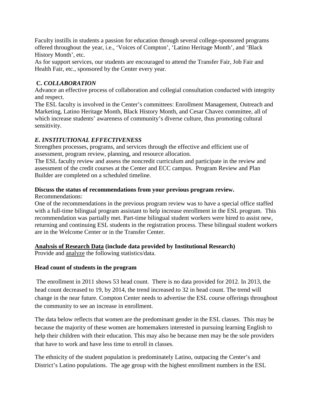Faculty instills in students a passion for education through several college-sponsored programs offered throughout the year, i.e., 'Voices of Compton', 'Latino Heritage Month', and 'Black History Month', etc.

As for support services, our students are encouraged to attend the Transfer Fair, Job Fair and Health Fair, etc., sponsored by the Center every year.

# **C.** *COLLABORATION*

Advance an effective process of collaboration and collegial consultation conducted with integrity and respect.

The ESL faculty is involved in the Center's committees: Enrollment Management, Outreach and Marketing, Latino Heritage Month, Black History Month, and Cesar Chavez committee, all of which increase students' awareness of community's diverse culture, thus promoting cultural sensitivity.

# *E. INSTITUTIONAL EFFECTIVENESS*

Strengthen processes, programs, and services through the effective and efficient use of assessment, program review, planning, and resource allocation.

The ESL faculty review and assess the noncredit curriculum and participate in the review and assessment of the credit courses at the Center and ECC campus. Program Review and Plan Builder are completed on a scheduled timeline.

# **Discuss the status of recommendations from your previous program review.**

Recommendations:

One of the recommendations in the previous program review was to have a special office staffed with a full-time bilingual program assistant to help increase enrollment in the ESL program. This recommendation was partially met. Part-time bilingual student workers were hired to assist new, returning and continuing ESL students in the registration process. These bilingual student workers are in the Welcome Center or in the Transfer Center.

# **Analysis of Research Data (include data provided by Institutional Research)**

Provide and analyze the following statistics/data.

# **Head count of students in the program**

The enrollment in 2011 shows 53 head count. There is no data provided for 2012. In 2013, the head count decreased to 19, by 2014, the trend increased to 32 in head count. The trend will change in the near future. Compton Center needs to advertise the ESL course offerings throughout the community to see an increase in enrollment.

The data below reflects that women are the predominant gender in the ESL classes. This may be because the majority of these women are homemakers interested in pursuing learning English to help their children with their education. This may also be because men may be the sole providers that have to work and have less time to enroll in classes.

The ethnicity of the student population is predominately Latino, outpacing the Center's and District's Latino populations. The age group with the highest enrollment numbers in the ESL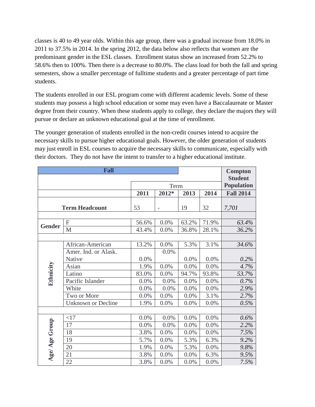classes is 40 to 49 year olds. Within this age group, there was a gradual increase from 18.0% in 2011 to 37.5% in 2014. In the spring 2012, the data below also reflects that women are the predominant gender in the ESL classes. Enrollment status show an increased from 52.2% to 58.6% then to 100%. Then there is a decrease to 80.0%. The class load for both the fall and spring semesters, show a smaller percentage of fulltime students and a greater percentage of part time students.

The students enrolled in our ESL program come with different academic levels. Some of these students may possess a high school education or some may even have a Baccalaureate or Master degree from their country. When these students apply to college, they declare the majors they will pursue or declare an unknown educational goal at the time of enrollment.

The younger generation of students enrolled in the non-credit courses intend to acquire the necessary skills to pursue higher educational goals. However, the older generation of students may just enroll in ESL courses to acquire the necessary skills to communicate, especially with their doctors. They do not have the intent to transfer to a higher educational institute.

|                | <b>Fall</b>               |       |                          | <b>Compton</b> |                |                  |  |  |
|----------------|---------------------------|-------|--------------------------|----------------|----------------|------------------|--|--|
|                |                           |       |                          |                | <b>Student</b> |                  |  |  |
|                |                           |       | Term                     |                |                |                  |  |  |
|                |                           | 2011  | 2012*                    | 2013           | 2014           | <b>Fall 2014</b> |  |  |
|                |                           |       |                          |                |                |                  |  |  |
|                | <b>Term Headcount</b>     | 53    | $\overline{\phantom{0}}$ | 19             | 32             | 7,701            |  |  |
|                |                           |       |                          |                |                |                  |  |  |
| <b>Gender</b>  | $\mathbf{F}$              | 56.6% | 0.0%                     | 63.2%          | 71.9%          | 63.4%            |  |  |
|                | M                         | 43.4% | 0.0%                     | 36.8%          | 28.1%          | 36.2%            |  |  |
|                |                           |       |                          |                |                |                  |  |  |
|                | African-American          | 13.2% | 0.0%                     | 5.3%           | 3.1%           | 34.6%            |  |  |
|                | Amer. Ind. or Alask.      |       | 0.0%                     |                |                |                  |  |  |
|                | <b>Native</b>             | 0.0%  |                          | 0.0%           | 0.0%           | 0.2%             |  |  |
|                | Asian                     | 1.9%  | 0.0%                     | 0.0%           | 0.0%           | 4.7%             |  |  |
| Ethnicity      | Latino                    | 83.0% | 0.0%                     | 94.7%          | 93.8%          | 53.7%            |  |  |
|                | Pacific Islander          | 0.0%  | 0.0%                     | 0.0%           | 0.0%           | 0.7%             |  |  |
|                | White                     | 0.0%  | 0.0%                     | 0.0%           | $0.0\%$        | 2.9%             |  |  |
|                | Two or More               | 0.0%  | 0.0%                     | 0.0%           | 3.1%           | 2.7%             |  |  |
|                | <b>Unknown or Decline</b> | 1.9%  | 0.0%                     | 0.0%           | 0.0%           | 0.5%             |  |  |
|                |                           |       |                          |                |                |                  |  |  |
|                | <17                       | 0.0%  | 0.0%                     | 0.0%           | 0.0%           | 0.6%             |  |  |
|                | 17                        | 0.0%  | 0.0%                     | 0.0%           | 0.0%           | 2.2%             |  |  |
|                | 18                        | 3.8%  | 0.0%                     | 0.0%           | 0.0%           | 7.5%             |  |  |
|                | 19                        | 5.7%  | 0.0%                     | 5.3%           | 6.3%           | 9.2%             |  |  |
|                | 20                        | 1.9%  | 0.0%                     | 5.3%           | $0.0\%$        | 9.8%             |  |  |
| Age/ Age Group | 21                        | 3.8%  | 0.0%                     | 0.0%           | 6.3%           | 9.5%             |  |  |
|                | 22                        | 3.8%  | 0.0%                     | 0.0%           | 0.0%           | 7.5%             |  |  |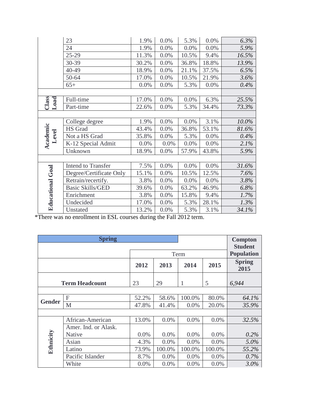|                         | 23                        | 1.9%  | 0.0% | 5.3%  | 0.0%  | 6.3%    |
|-------------------------|---------------------------|-------|------|-------|-------|---------|
|                         | 24                        | 1.9%  | 0.0% | 0.0%  | 0.0%  | 5.9%    |
|                         | $25 - 29$                 | 11.3% | 0.0% | 10.5% | 9.4%  | 16.5%   |
|                         | 30-39                     | 30.2% | 0.0% | 36.8% | 18.8% | 13.9%   |
|                         | 40-49                     | 18.9% | 0.0% | 21.1% | 37.5% | 6.5%    |
|                         | 50-64                     | 17.0% | 0.0% | 10.5% | 21.9% | 3.6%    |
|                         | $65+$                     | 0.0%  | 0.0% | 5.3%  | 0.0%  | $0.4\%$ |
|                         |                           |       |      |       |       |         |
| Class<br>Load           | Full-time                 | 17.0% | 0.0% | 0.0%  | 6.3%  | 25.5%   |
|                         | Part-time                 | 22.6% | 0.0% | 5.3%  | 34.4% | 73.3%   |
|                         |                           |       |      |       |       |         |
|                         | College degree            | 1.9%  | 0.0% | 0.0%  | 3.1%  | 10.0%   |
|                         | HS Grad                   | 43.4% | 0.0% | 36.8% | 53.1% | 81.6%   |
| Academic<br>Level       | Not a HS Grad             | 35.8% | 0.0% | 5.3%  | 0.0%  | 0.4%    |
|                         | K-12 Special Admit        | 0.0%  | 0.0% | 0.0%  | 0.0%  | 2.1%    |
|                         | Unknown                   | 18.9% | 0.0% | 57.9% | 43.8% | 5.9%    |
|                         |                           |       |      |       |       |         |
|                         | <b>Intend to Transfer</b> | 7.5%  | 0.0% | 0.0%  | 0.0%  | 31.6%   |
|                         | Degree/Certificate Only   | 15.1% | 0.0% | 10.5% | 12.5% | 7.6%    |
|                         | Retrain/recertify.        | 3.8%  | 0.0% | 0.0%  | 0.0%  | 3.8%    |
| <b>Educational Goal</b> | <b>Basic Skills/GED</b>   | 39.6% | 0.0% | 63.2% | 46.9% | 6.8%    |
|                         | Enrichment                | 3.8%  | 0.0% | 15.8% | 9.4%  | 1.7%    |
|                         | Undecided                 | 17.0% | 0.0% | 5.3%  | 28.1% | 1.3%    |
|                         | Unstated                  | 13.2% | 0.0% | 5.3%  | 3.1%  | 34.1%   |

\*There was no enrollment in ESL courses during the Fall 2012 term.

|               | <b>Spring</b>                |         |         | <b>Compton</b>                      |         |         |  |
|---------------|------------------------------|---------|---------|-------------------------------------|---------|---------|--|
|               |                              | Term    |         | <b>Student</b><br><b>Population</b> |         |         |  |
|               | 2012<br>2014<br>2013<br>2015 |         |         |                                     |         |         |  |
|               | <b>Term Headcount</b>        | 23      | 29      | 1                                   | 5       | 6,944   |  |
|               |                              |         |         |                                     |         |         |  |
| <b>Gender</b> | F                            | 52.2%   | 58.6%   | 100.0%                              | 80.0%   | 64.1%   |  |
|               | M                            | 47.8%   | 41.4%   | 0.0%                                | 20.0%   | 35.9%   |  |
|               |                              |         |         |                                     |         |         |  |
|               | African-American             | 13.0%   | 0.0%    | 0.0%                                | 0.0%    | 32.5%   |  |
|               | Amer. Ind. or Alask.         |         |         |                                     |         |         |  |
|               | Native                       | 0.0%    | 0.0%    | 0.0%                                | 0.0%    | 0.2%    |  |
|               | Asian                        | 4.3%    | 0.0%    | 0.0%                                | 0.0%    | 5.0%    |  |
| Ethnicity     | Latino                       | 73.9%   | 100.0%  | 100.0%                              | 100.0%  | 55.2%   |  |
|               | Pacific Islander             | 8.7%    | 0.0%    | 0.0%                                | 0.0%    | 0.7%    |  |
|               | White                        | $0.0\%$ | $0.0\%$ | $0.0\%$                             | $0.0\%$ | $3.0\%$ |  |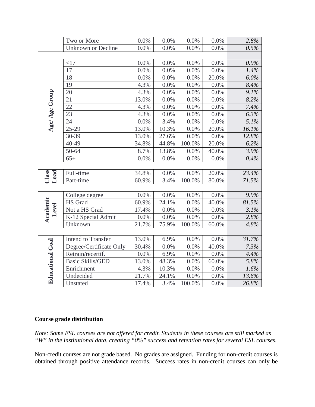|                         | Two or More               | 0.0%  | $0.0\%$ | 0.0%   | 0.0%    | 2.8%    |
|-------------------------|---------------------------|-------|---------|--------|---------|---------|
|                         | <b>Unknown or Decline</b> | 0.0%  | 0.0%    | 0.0%   | 0.0%    | 0.5%    |
|                         |                           |       |         |        |         |         |
|                         | <17                       | 0.0%  | 0.0%    | 0.0%   | 0.0%    | 0.9%    |
|                         | 17                        | 0.0%  | 0.0%    | 0.0%   | 0.0%    | 1.4%    |
|                         | 18                        | 0.0%  | 0.0%    | 0.0%   | 20.0%   | $6.0\%$ |
|                         | 19                        | 4.3%  | 0.0%    | 0.0%   | 0.0%    | 8.4%    |
|                         | 20                        | 4.3%  | 0.0%    | 0.0%   | 0.0%    | 9.1%    |
| Age/ Age Group          | 21                        | 13.0% | 0.0%    | 0.0%   | 0.0%    | 8.2%    |
|                         | 22                        | 4.3%  | 0.0%    | 0.0%   | 0.0%    | 7.4%    |
|                         | 23                        | 4.3%  | 0.0%    | 0.0%   | 0.0%    | 6.3%    |
|                         | 24                        | 0.0%  | 3.4%    | 0.0%   | 0.0%    | 5.1%    |
|                         | $25-29$                   | 13.0% | 10.3%   | 0.0%   | 20.0%   | 16.1%   |
|                         | 30-39                     | 13.0% | 27.6%   | 0.0%   | 0.0%    | 12.8%   |
|                         | 40-49                     | 34.8% | 44.8%   | 100.0% | 20.0%   | 6.2%    |
|                         | 50-64                     | 8.7%  | 13.8%   | 0.0%   | 40.0%   | 3.9%    |
|                         | $65+$                     | 0.0%  | 0.0%    | 0.0%   | 0.0%    | 0.4%    |
|                         |                           |       |         |        |         |         |
| Class<br>Load           | Full-time                 | 34.8% | 0.0%    | 0.0%   | 20.0%   | 23.4%   |
|                         | Part-time                 | 60.9% | 3.4%    | 100.0% | 80.0%   | 71.5%   |
|                         |                           |       |         |        |         |         |
|                         | College degree            | 0.0%  | 0.0%    | 0.0%   | 0.0%    | 9.9%    |
|                         | HS Grad                   | 60.9% | 24.1%   | 0.0%   | 40.0%   | 81.5%   |
| Level                   | Not a HS Grad             | 17.4% | 0.0%    | 0.0%   | 0.0%    | 3.1%    |
| Academic                | K-12 Special Admit        | 0.0%  | 0.0%    | 0.0%   | 0.0%    | 2.8%    |
|                         | Unknown                   | 21.7% | 75.9%   | 100.0% | 60.0%   | 4.8%    |
|                         |                           |       |         |        |         |         |
|                         | Intend to Transfer        | 13.0% | 6.9%    | 0.0%   | 0.0%    | 31.7%   |
|                         | Degree/Certificate Only   | 30.4% | 0.0%    | 0.0%   | 40.0%   | 7.3%    |
|                         | Retrain/recertif.         | 0.0%  | 6.9%    | 0.0%   | 0.0%    | 4.4%    |
|                         | <b>Basic Skills/GED</b>   | 13.0% | 48.3%   | 0.0%   | 60.0%   | 5.8%    |
|                         | Enrichment                | 4.3%  | 10.3%   | 0.0%   | 0.0%    | 1.6%    |
| <b>Educational Goal</b> | Undecided                 | 21.7% | 24.1%   | 0.0%   | $0.0\%$ | 13.6%   |
|                         | Unstated                  | 17.4% | 3.4%    | 100.0% | 0.0%    | 26.8%   |

#### **Course grade distribution**

*Note: Some ESL courses are not offered for credit. Students in these courses are still marked as "W" in the institutional data, creating "0%" success and retention rates for several ESL courses.*

Non-credit courses are not grade based. No grades are assigned. Funding for non-credit courses is obtained through positive attendance records. Success rates in non-credit courses can only be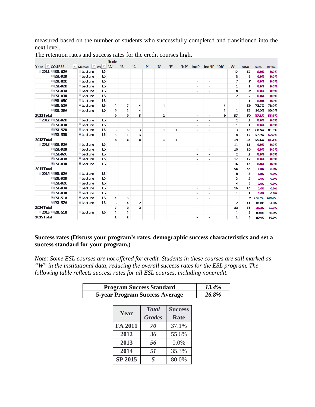measured based on the number of students who successfully completed and transitioned into the next level.

| Year COURSE       |                            | $\mathbf{F}^{\dagger}$ Method | $\overline{v}$ We $\overline{v}$ | ulauc I<br>'A' | "B"            | "C"          | 'P' | 'ס'          | 'F' | 'NP' | Inc P                    | Inc NP 'DR'              |                | 'W'            | <b>Total</b>     | Succ.  | Reten. |
|-------------------|----------------------------|-------------------------------|----------------------------------|----------------|----------------|--------------|-----|--------------|-----|------|--------------------------|--------------------------|----------------|----------------|------------------|--------|--------|
|                   | $\Box$ 2011 $\Box$ ESL-02A | Electure                      | 16                               |                |                |              |     |              |     |      |                          |                          |                | 12             | 12               | 0.0%   | 0.0%   |
|                   | $EESL-02B$                 | $\blacksquare$ Lecture        | 16                               |                |                |              |     |              |     |      | $\overline{\phantom{a}}$ |                          |                | 5              | 5                | 0.0%   | 0.0%   |
|                   | $EESL-02C$                 | $E$ Lecture                   | 16                               |                |                |              |     |              |     |      | $\sim$                   |                          |                | 7              | $\overline{ }$   | 0.0%   | 0.0%   |
|                   | $EESL-02D$                 | $\blacksquare$ Lecture        | 16                               |                |                |              |     |              |     |      | $\sim$                   | $\sim$                   |                | $\mathbf{1}$   | $\mathbf{I}$     | 0.0%   | 0.0%   |
|                   | <b>E</b> ESL-03A           | $\blacksquare$ Lecture        | 16                               |                |                |              |     |              |     |      | $\sim$                   |                          |                | 8              | 8                | 0.0%   | 0.0%   |
|                   | <b>E ESL-03B</b>           | $\blacksquare$ Lecture        | 16                               |                |                |              |     |              |     |      | $\sim$                   | $\sim$                   |                | $\overline{2}$ | $\overline{z}$   | 0.0%   | 0.0%   |
|                   | $EESL-03C$                 | $\blacksquare$ Lecture        | 16                               |                |                |              |     |              |     |      | $\sim$                   |                          |                | $\mathbf{1}$   | $\mathbf{I}$     | 0.0%   | 0.0%   |
|                   | $EESL-52A$                 | $\blacksquare$ Lecture        | 16                               | 3              | 7              | 4            |     | $\mathbf{1}$ |     |      | $\sim$                   | $\sim$                   | 4              |                | 19               | 73.7%  | 78.9%  |
|                   | <b>E ESL-53A</b>           | $\blacksquare$ Lecture        | 16                               | 6              | $\overline{2}$ | 4            |     |              |     |      | $\sim$                   |                          | $\overline{2}$ | $\mathbf{1}$   | 15               | 80.0%  | 80.0%  |
| <b>2011 Total</b> |                            |                               |                                  | 9              | 9              | 8            |     | 1            |     |      | $\overline{\phantom{a}}$ | ٠                        | 6              | 37             | 70               | 37.1%  | 38.6%  |
|                   | $\Xi$ 2012 $\Xi$ ESI-02D   | $\blacksquare$ Lecture        | 16                               |                |                |              |     |              |     |      | $\sim$                   | $\sim$                   |                | 2              | $\overline{z}$   | 0.0%   | 0.0%   |
|                   | <b>E ESI-03B</b>           | $\blacksquare$ Lecture        | 16                               |                |                |              |     |              |     |      | $\sim$                   |                          |                | 1              | $\mathbf{I}$     | 0.0%   | 0.0%   |
|                   | <b>EESL-52B</b>            | <b>Electure</b>               | 16                               | 3              | 5.             | 3            |     | $\mathbf{1}$ | 1   |      | $\sim$                   | $\overline{\phantom{a}}$ |                | 3.             | 16               | 68.8%  | 81.3%  |
|                   | <b>E ESL-53B</b>           | <b>Electure</b>               | 16                               | 5              | $\mathbf{1}$   | 3            |     |              |     |      | $\sim$                   |                          |                | 8              | 17               | 52.9%  | 52.9%  |
| 2012 Total        |                            |                               |                                  | 8              | 6              | 6            |     | 1            | 1   |      | $\sim$                   | $\overline{\phantom{a}}$ |                | 14             | 36               | 55.6%  | 61.1%  |
|                   | $\Box 2013$ $\Box$ ESL-02A | <b>Electure</b>               | 16                               |                |                |              |     |              |     |      | $\sim$                   | з.                       |                | 11             | 11               | 0.0%   | 0.0%   |
|                   | <b>E ESL-02B</b>           | <b>Electure</b>               | 16                               |                |                |              |     |              |     |      | $\overline{\phantom{a}}$ | ÷.                       |                | 10             | 10               | 0.0%   | 0.0%   |
|                   | $E$ ESL-02C                | <b>Electure</b>               | 16                               |                |                |              |     |              |     |      | $\overline{\phantom{a}}$ | i.                       |                | $\overline{2}$ | $\overline{z}$   | 0.0%   | 0.0%   |
|                   | <b>E ESL-03A</b>           | <b>Electure</b>               | 16                               |                |                |              |     |              |     |      | $\sim$                   | ÷,                       |                | 17             | 17               | 0.0%   | 0.0%   |
|                   | <b>E ESL-03B</b>           | <b>Electure</b>               | 16                               |                |                |              |     |              |     |      | $\overline{\phantom{a}}$ | ÷,                       |                | 16             | 16               | 0.0%   | 0.0%   |
| 2013 Total        |                            |                               |                                  |                |                |              |     |              |     |      | ٠                        | ٠                        |                | 56             | 56               | 0.0%   | 0.0%   |
|                   | $\Box 2014$ $\Box$ ESL-02A | $\blacksquare$ Lecture        | 16                               |                |                |              |     |              |     |      | $\overline{\phantom{a}}$ | $\overline{a}$           |                | 8              | $\boldsymbol{s}$ | 0.0%   | 0.0%   |
|                   | $EESL-02B$                 | $\blacksquare$ Lecture        | 16                               |                |                |              |     |              |     |      | $\sim$                   | ÷,                       |                | $\overline{2}$ | $\mathbf{z}$     | 0.0%   | 0.0%   |
|                   | $EESL-02C$                 | $\blacksquare$ Lecture        | 16                               |                |                |              |     |              |     |      | $\overline{\phantom{a}}$ |                          |                | 4              | 4                | 0.0%   | 0.0%   |
|                   | <b>E ESL-03A</b>           | $\blacksquare$ Lecture        | 16                               |                |                |              |     |              |     |      | ٠                        | i.                       |                | 16             | 16               | 0.0%   | 0.0%   |
|                   | $EESL-03B$                 | $\blacksquare$ Lecture        | 16                               |                |                |              |     |              |     |      | $\sim$                   | i.                       |                | 1              | $\bf{1}$         | 0.0%   | 0.0%   |
|                   | $EESL-51A$                 | $\blacksquare$ Lecture        | 16                               | 4              | 5              |              |     |              |     |      | $\overline{\phantom{a}}$ |                          |                |                | 9                | 100.0% | 100.0% |
|                   | <b>E</b> ESL-52A           | <b>Electure</b>               | 16                               | з              | 4              | 2            |     |              |     |      | $\overline{\phantom{a}}$ | $\sim$                   |                | $\overline{2}$ | 11               | 81.8%  | 81.8%  |
| 2014 Total        |                            |                               |                                  | $\overline{ }$ | 9              | $\mathbf{z}$ |     |              |     |      | $\overline{\phantom{a}}$ | ۰                        |                | 33             | 51               | 35.3%  | 35.3%  |
|                   | $\Xi$ 2015 $\Xi$ ESL-51B   | $\blacksquare$ Lecture        | 16                               | 2              | $\mathbf{Z}$   |              |     |              |     |      | $\overline{\phantom{a}}$ | $\sim$                   |                | $\mathbf{1}$   | 5                | 80.0%  | 80.0%  |
| <b>2015 Total</b> |                            |                               |                                  | 2              | $\mathbf{z}$   |              |     |              |     |      | $\overline{\phantom{m}}$ |                          |                | 1              | 5                | 80.0%  | 80.0%  |

The retention rates and success rates for the credit courses high.

# **Success rates (Discuss your program's rates, demographic success characteristics and set a success standard for your program.)**

*Note: Some ESL courses are not offered for credit. Students in these courses are still marked as "W" in the institutional data, reducing the overall success rates for the ESL program. The following table reflects success rates for all ESL courses, including noncredit.*

| <b>Program Success Standard</b>       | 13.4%          |                               |                        |  |
|---------------------------------------|----------------|-------------------------------|------------------------|--|
| <b>5-year Program Success Average</b> | 26.8%          |                               |                        |  |
|                                       |                |                               |                        |  |
|                                       | Year           | <b>Total</b><br><b>Grades</b> | <b>Success</b><br>Rate |  |
|                                       | FA 2011        | 70                            | 37.1%                  |  |
|                                       | 2012           | 36                            | 55.6%                  |  |
|                                       | 2013           | 56                            | 0.0%                   |  |
|                                       | 2014           | 51                            | 35.3%                  |  |
|                                       | <b>SP 2015</b> | 5                             | 80.0%                  |  |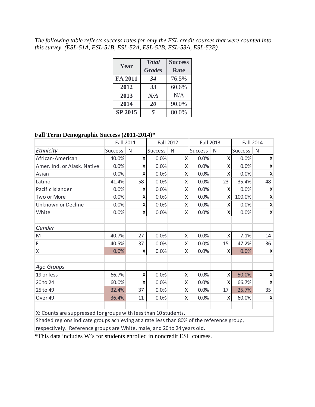*The following table reflects success rates for only the ESL credit courses that were counted into this survey. (ESL-51A, ESL-51B, ESL-52A, ESL-52B, ESL-53A, ESL-53B).*

| Year           | <b>Total</b>  | <b>Success</b> |
|----------------|---------------|----------------|
|                | <b>Grades</b> | Rate           |
| FA 2011        | 34            | 76.5%          |
| 2012           | 33            | 60.6%          |
| 2013           | N/A           | N/A            |
| 2014           | 20            | 90.0%          |
| <b>SP 2015</b> | 5             | 80.0%          |

#### **Fall Term Demographic Success (2011-2014)\***

|                             | Fall 2011      |    | <b>Fall 2012</b> |              | Fall 2013      |    | <b>Fall 2014</b> |                    |
|-----------------------------|----------------|----|------------------|--------------|----------------|----|------------------|--------------------|
| Ethnicity                   | <b>Success</b> | N  | <b>Success</b>   | N            | <b>Success</b> | N  | <b>Success</b>   | N                  |
| African-American            | 40.0%          | X  | 0.0%             | $\mathsf{x}$ | 0.0%           | x  | 0.0%             | $\mathsf{x}$       |
| Amer. Ind. or Alask. Native | 0.0%           | x  | 0.0%             | x            | 0.0%           | x  | 0.0%             | Χ                  |
| Asian                       | 0.0%           | Χ  | 0.0%             | Χ            | 0.0%           | X  | 0.0%             | X                  |
| Latino                      | 41.4%          | 58 | 0.0%             | Χ            | 0.0%           | 23 | 35.4%            | 48                 |
| Pacific Islander            | 0.0%           | Χ  | 0.0%             | Χ            | 0.0%           | x  | 0.0%             | Χ                  |
| Two or More                 | 0.0%           | Χ  | 0.0%             | Χ            | 0.0%           | x  | 100.0%           | $\pmb{\mathsf{X}}$ |
| Unknown or Decline          | 0.0%           | X  | 0.0%             | Χ            | 0.0%           | X  | 0.0%             | Χ                  |
| White                       | 0.0%           | X  | 0.0%             | X            | 0.0%           | X  | 0.0%             | X                  |
|                             |                |    |                  |              |                |    |                  |                    |
| Gender                      |                |    |                  |              |                |    |                  |                    |
| M                           | 40.7%          | 27 | 0.0%             | X            | 0.0%           | X  | 7.1%             | 14                 |
| F                           | 40.5%          | 37 | 0.0%             | X            | 0.0%           | 15 | 47.2%            | 36                 |
| $\mathsf X$                 | 0.0%           | Χ  | 0.0%             | Χ            | 0.0%           | X  | 0.0%             | Χ                  |
|                             |                |    |                  |              |                |    |                  |                    |
| Age Groups                  |                |    |                  |              |                |    |                  |                    |
| 19 or less                  | 66.7%          | X  | 0.0%             | X            | 0.0%           | X  | 50.0%            | $\mathsf{x}$       |
| 20 to 24                    | 60.0%          | Χ  | 0.0%             | Χ            | 0.0%           | X  | 66.7%            | X                  |
| 25 to 49                    | 32.4%          | 37 | 0.0%             | Χl           | 0.0%           | 17 | 25.7%            | 35                 |
| Over 49                     | 36.4%          | 11 | 0.0%             | Χ            | 0.0%           | x  | 60.0%            | X                  |
|                             |                |    |                  |              |                |    |                  |                    |

X: Counts are suppressed for groups with less than 10 students.

Shaded regions indicate groups achieving at a rate less than 80% of the reference group,

respectively. Reference groups are White, male, and 20 to 24 years old.

**\***This data includes W's for students enrolled in noncredit ESL courses.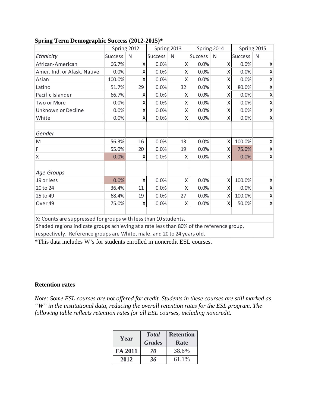|                                                                                          |                | Spring 2012  |                | Spring 2013 | Spring 2014    |   | Spring 2015    |                    |
|------------------------------------------------------------------------------------------|----------------|--------------|----------------|-------------|----------------|---|----------------|--------------------|
| Ethnicity                                                                                | <b>Success</b> | N            | <b>Success</b> | N           | <b>Success</b> | N | <b>Success</b> | N                  |
| African-American                                                                         | 66.7%          | $\mathsf{X}$ | 0.0%           | X           | 0.0%           | Χ | 0.0%           | $\mathsf{x}$       |
| Amer. Ind. or Alask. Native                                                              | 0.0%           | х            | 0.0%           | х           | 0.0%           | x | 0.0%           | X                  |
| Asian                                                                                    | 100.0%         | Χ            | 0.0%           |             | 0.0%           | Χ | 0.0%           | X                  |
| Latino                                                                                   | 51.7%          | 29           | 0.0%           | 32          | 0.0%           | x | 80.0%          | X                  |
| Pacific Islander                                                                         | 66.7%          | Χ            | 0.0%           | х           | 0.0%           | x | 0.0%           | X                  |
| Two or More                                                                              | 0.0%           | X            | 0.0%           | х           | 0.0%           | X | 0.0%           | $\mathsf{x}$       |
| Unknown or Decline                                                                       | 0.0%           | X            | 0.0%           | Χ           | 0.0%           | Χ | 0.0%           | $\mathsf{x}$       |
| White                                                                                    | 0.0%           | $\mathsf{x}$ | 0.0%           | Χ           | 0.0%           | Χ | 0.0%           | $\mathsf{X}$       |
|                                                                                          |                |              |                |             |                |   |                |                    |
| Gender                                                                                   |                |              |                |             |                |   |                |                    |
| M                                                                                        | 56.3%          | 16           | 0.0%           | 13          | 0.0%           | X | 100.0%         | $\mathsf{x}$       |
| F                                                                                        | 55.0%          | 20           | 0.0%           | 19          | 0.0%           | x | 75.0%          | $\pmb{\mathsf{X}}$ |
| Χ                                                                                        | 0.0%           | X            | 0.0%           | х           | 0.0%           | X | 0.0%           | $\mathsf{x}$       |
|                                                                                          |                |              |                |             |                |   |                |                    |
| Age Groups                                                                               |                |              |                |             |                |   |                |                    |
| 19 or less                                                                               | 0.0%           | $\mathsf{x}$ | 0.0%           | Χ           | 0.0%           | x | 100.0%         | $\mathsf{x}$       |
| 20 to 24                                                                                 | 36.4%          | 11           | 0.0%           | Χ           | 0.0%           | Χ | 0.0%           | $\mathsf{x}$       |
| 25 to 49                                                                                 | 68.4%          | 19           | 0.0%           | 27          | 0.0%           | Χ | 100.0%         | $\pmb{\mathsf{X}}$ |
| Over <sub>49</sub>                                                                       | 75.0%          | X            | 0.0%           | X           | 0.0%           | x | 50.0%          | $\mathsf{x}$       |
|                                                                                          |                |              |                |             |                |   |                |                    |
| X: Counts are suppressed for groups with less than 10 students.                          |                |              |                |             |                |   |                |                    |
| Shaded regions indicate groups achieving at a rate less than 80% of the reference group, |                |              |                |             |                |   |                |                    |

# **Spring Term Demographic Success (2012-2015)\***

respectively. Reference groups are White, male, and 20 to 24 years old.

\*This data includes W's for students enrolled in noncredit ESL courses.

### **Retention rates**

*Note: Some ESL courses are not offered for credit. Students in these courses are still marked as "W" in the institutional data, reducing the overall retention rates for the ESL program. The following table reflects retention rates for all ESL courses, including noncredit.*

| Year    | <b>Total</b><br><b>Grades</b> | <b>Retention</b><br>Rate |  |  |
|---------|-------------------------------|--------------------------|--|--|
| FA 2011 | 70                            | 38.6%                    |  |  |
| 2012    | 36                            | 61.1%                    |  |  |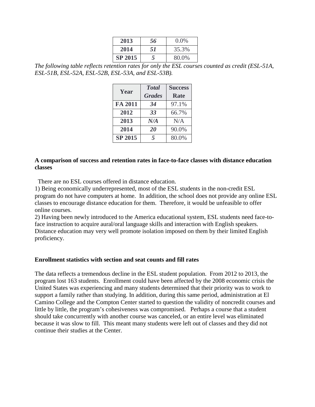| 2013           | 56 | $0.0\%$ |
|----------------|----|---------|
| 2014           | 51 | 35.3%   |
| <b>SP 2015</b> | 5  | 80.0%   |

*The following table reflects retention rates for only the ESL courses counted as credit (ESL-51A, ESL-51B, ESL-52A, ESL-52B, ESL-53A, and ESL-53B).*

| Year           | <b>Total</b>            | <b>Success</b> |
|----------------|-------------------------|----------------|
|                | <b>Grades</b>           | Rate           |
| FA 2011        | 34                      | 97.1%          |
| 2012           | 33                      | 66.7%          |
| 2013           | N/A                     | N/A            |
| 2014           | <b>20</b>               | 90.0%          |
| <b>SP 2015</b> | $\overline{\mathbf{S}}$ | 80.0%          |

#### **A comparison of success and retention rates in face-to-face classes with distance education classes**

There are no ESL courses offered in distance education.

1) Being economically underrepresented, most of the ESL students in the non-credit ESL program do not have computers at home. In addition, the school does not provide any online ESL classes to encourage distance education for them. Therefore, it would be unfeasible to offer online courses.

2) Having been newly introduced to the America educational system, ESL students need face-toface instruction to acquire aural/oral language skills and interaction with English speakers. Distance education may very well promote isolation imposed on them by their limited English proficiency.

#### **Enrollment statistics with section and seat counts and fill rates**

The data reflects a tremendous decline in the ESL student population. From 2012 to 2013, the program lost 163 students. Enrollment could have been affected by the 2008 economic crisis the United States was experiencing and many students determined that their priority was to work to support a family rather than studying. In addition, during this same period, administration at El Camino College and the Compton Center started to question the validity of noncredit courses and little by little, the program's cohesiveness was compromised. Perhaps a course that a student should take concurrently with another course was canceled, or an entire level was eliminated because it was slow to fill. This meant many students were left out of classes and they did not continue their studies at the Center.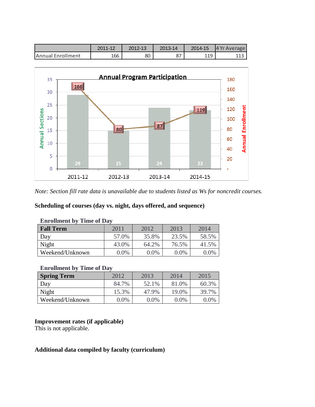|                           | 2011-12 | 2012-13 | 2013-14  | 2014-15   | 4 Yr Average |
|---------------------------|---------|---------|----------|-----------|--------------|
| <b>IAnnual Enrollment</b> | 166     | 80      | ດ¬<br>01 | 110<br>ᆂᆂ | 11つ<br>ᅩᅩ    |



*Note: Section fill rate data is unavailable due to students listed as Ws for noncredit courses.*

#### **Scheduling of courses (day vs. night, days offered, and sequence)**

# **Enrollment by Time of Day Fall Term** 2011 2012 2013 2014 Day 57.0% 35.8% 23.5% 58.5% Night 43.0% 64.2% 76.5% 41.5% Weekend/Unknown 0.0% 0.0% 0.0% 0.0% 0.0%

#### **Enrollment by Time of Day**

| <b>Spring Term</b> | 2012    | 2013    | 2014  | 2015    |
|--------------------|---------|---------|-------|---------|
| Day                | 84.7%   | 52.1%   | 81.0% | 60.3%   |
| Night              | 15.3%   | 47.9%   | 19.0% | 39.7%   |
| Weekend/Unknown    | $0.0\%$ | $0.0\%$ | 0.0%  | $0.0\%$ |

### **Improvement rates (if applicable)**

This is not applicable.

# **Additional data compiled by faculty (curriculum)**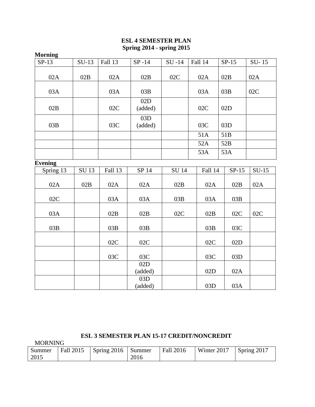# **ESL 4 SEMESTER PLAN Spring 2014 - spring 2015**

| <b>Morning</b>            |             |         |                |              |         |            |         |         |
|---------------------------|-------------|---------|----------------|--------------|---------|------------|---------|---------|
| $\overline{\text{SP-13}}$ | $SU-13$     | Fall 13 | $SP-14$        | $SU -14$     | Fall 14 |            | $SP-15$ | $SU-15$ |
| 02A                       | 02B         | 02A     | 02B            | 02C          | 02A     |            | 02B     | 02A     |
| 03A                       |             | 03A     | 03B            |              | 03A     |            | 03B     | 02C     |
| 02B                       |             | 02C     | 02D<br>(added) |              | 02C     |            | 02D     |         |
| 03B                       |             | 03C     | 03D<br>(added) |              | 03C     | 03D        |         |         |
|                           |             |         |                |              | 51A     |            | 51B     |         |
|                           |             |         |                |              | 52A     |            | 52B     |         |
|                           |             |         |                |              | 53A     | 53A        |         |         |
| <b>Evening</b>            |             |         |                |              |         |            |         |         |
| Spring 13                 | <b>SU13</b> | Fall 13 | SP 14          | <b>SU 14</b> | Fall 14 |            | $SP-15$ | $SU-15$ |
| 02A                       | 02B         | 02A     | 02A            | 02B          | 02A     |            | 02B     | 02A     |
| 02C                       |             | 03A     | 03A            | 03B          |         | 03A<br>03B |         |         |
| 03A                       |             | 02B     | 02B            | 02C          | 02B     |            | 02C     | 02C     |
| 03B                       |             | 03B     | 03B            |              | 03B     |            | 03C     |         |
|                           |             | 02C     | 02C            |              | 02C     |            | 02D     |         |
|                           |             | 03C     | 03C            |              | 03C     |            | 03D     |         |
|                           |             |         | 02D<br>(added) |              | 02D     |            | 02A     |         |
|                           |             |         | 03D<br>(added) |              | 03D     |            | 03A     |         |

# **ESL 3 SEMESTER PLAN 15-17 CREDIT/NONCREDIT**

MORNING

| Summer | Fall 2015 | $\sqrt{\frac{1}{2}$ Spring 2016 $\sqrt{\frac{1}{2}}$ Summer |      | Fall 2016 | Winter 2017 | $\sqrt{5}$ Spring 2017 |
|--------|-----------|-------------------------------------------------------------|------|-----------|-------------|------------------------|
| 2015   |           |                                                             | 2016 |           |             |                        |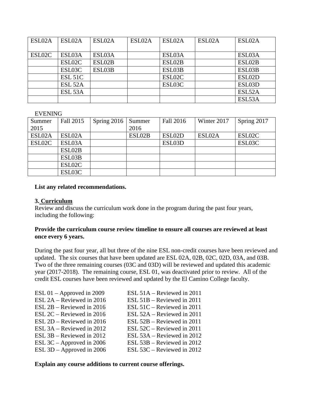| ESL02A | ESL02A              | ESL02A | ESL02A | ESL02A | ESL02A | ESL02A |
|--------|---------------------|--------|--------|--------|--------|--------|
|        |                     |        |        |        |        |        |
| ESL02C | ESL03A              | ESL03A |        | ESL03A |        | ESL03A |
|        | ESL02C              | ESL02B |        | ESL02B |        | ESL02B |
|        | ESL03C              | ESL03B |        | ESL03B |        | ESL03B |
|        | ESL <sub>51C</sub>  |        |        | ESL02C |        | ESL02D |
|        | ESL <sub>52A</sub>  |        |        | ESL03C |        | ESL03D |
|        | ESL <sub>53</sub> A |        |        |        |        | ESL52A |
|        |                     |        |        |        |        | ESL53A |

#### EVENING

| Summer | Fall 2015 | Spring $2016$ | Summer | Fall 2016 | Winter 2017 | Spring 2017 |
|--------|-----------|---------------|--------|-----------|-------------|-------------|
| 2015   |           |               | 2016   |           |             |             |
| ESL02A | ESL02A    |               | ESL02B | ESL02D    | ESL02A      | ESL02C      |
| ESL02C | ESL03A    |               |        | ESL03D    |             | ESL03C      |
|        | ESL02B    |               |        |           |             |             |
|        | ESL03B    |               |        |           |             |             |
|        | ESL02C    |               |        |           |             |             |
|        | ESL03C    |               |        |           |             |             |

#### **List any related recommendations.**

#### **3. Curriculum**

Review and discuss the curriculum work done in the program during the past four years, including the following:

#### **Provide the curriculum course review timeline to ensure all courses are reviewed at least once every 6 years.**

During the past four year, all but three of the nine ESL non-credit courses have been reviewed and updated. The six courses that have been updated are ESL 02A, 02B, 02C, 02D, 03A, and 03B. Two of the three remaining courses (03C and 03D) will be reviewed and updated this academic year (2017-2018). The remaining course, ESL 01, was deactivated prior to review. All of the credit ESL courses have been reviewed and updated by the El Camino College faculty.

| ESL $01$ – Approved in 2009 | ESL 51A – Reviewed in 2011   |
|-----------------------------|------------------------------|
| ESL 2A – Reviewed in 2016   | ESL 51B – Reviewed in 2011   |
| ESL $2B$ – Reviewed in 2016 | ESL 51C – Reviewed in 2011   |
| ESL $2C$ – Reviewed in 2016 | ESL 52A – Reviewed in 2011   |
| ESL 2D – Reviewed in 2016   | ESL 52B – Reviewed in 2011   |
| ESL 3A – Reviewed in 2012   | ESL $52C$ – Reviewed in 2011 |
| ESL $3B$ – Reviewed in 2012 | ESL 53A – Reviewed in 2012   |
| ESL $3C$ – Approved in 2006 | ESL 53B – Reviewed in 2012   |
| ESL $3D$ – Approved in 2006 | ESL 53C – Reviewed in 2012   |

#### **Explain any course additions to current course offerings.**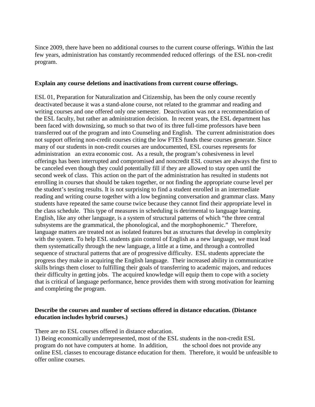Since 2009, there have been no additional courses to the current course offerings. Within the last few years, administration has constantly recommended reduced offerings of the ESL non-credit program.

#### **Explain any course deletions and inactivations from current course offerings.**

ESL 01, Preparation for Naturalization and Citizenship, has been the only course recently deactivated because it was a stand-alone course, not related to the grammar and reading and writing courses and one offered only one semester. Deactivation was not a recommendation of the ESL faculty, but rather an administration decision. In recent years, the ESL department has been faced with downsizing, so much so that two of its three full-time professors have been transferred out of the program and into Counseling and English. The current administration does not support offering non-credit courses citing the low FTES funds these courses generate. Since many of our students in non-credit courses are undocumented, ESL courses represents for administration an extra economic cost. As a result, the program's cohesiveness in level offerings has been interrupted and compromised and noncredit ESL courses are always the first to be canceled even though they could potentially fill if they are allowed to stay open until the second week of class. This action on the part of the administration has resulted in students not enrolling in courses that should be taken together, or not finding the appropriate course level per the student's testing results. It is not surprising to find a student enrolled in an intermediate reading and writing course together with a low beginning conversation and grammar class. Many students have repeated the same course twice because they cannot find their appropriate level in the class schedule. This type of measures in scheduling is detrimental to language learning. English, like any other language, is a system of structural patterns of which "the three central subsystems are the grammatical, the phonological, and the morphophonemic." Therefore, language matters are treated not as isolated features but as structures that develop in complexity with the system. To help ESL students gain control of English as a new language, we must lead them systematically through the new language, a little at a time, and through a controlled sequence of structural patterns that are of progressive difficulty. ESL students appreciate the progress they make in acquiring the English language. Their increased ability in communicative skills brings them closer to fulfilling their goals of transferring to academic majors, and reduces their difficulty in getting jobs. The acquired knowledge will equip them to cope with a society that is critical of language performance, hence provides them with strong motivation for learning and completing the program.

#### **Describe the courses and number of sections offered in distance education. (Distance education includes hybrid courses.)**

There are no ESL courses offered in distance education.

1) Being economically underrepresented, most of the ESL students in the non-credit ESL program do not have computers at home. In addition, the school does not provide any online ESL classes to encourage distance education for them. Therefore, it would be unfeasible to offer online courses.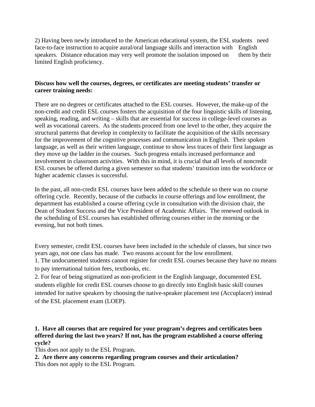2) Having been newly introduced to the American educational system, the ESL students need face-to-face instruction to acquire aural/oral language skills and interaction with English speakers. Distance education may very well promote the isolation imposed on them by their limited English proficiency.

#### **Discuss how well the courses, degrees, or certificates are meeting students' transfer or career training needs:**

There are no degrees or certificates attached to the ESL courses. However, the make-up of the non-credit and credit ESL courses fosters the acquisition of the four linguistic skills of listening, speaking, reading, and writing – skills that are essential for success in college-level courses as well as vocational careers. As the students proceed from one level to the other, they acquire the structural patterns that develop in complexity to facilitate the acquisition of the skills necessary for the improvement of the cognitive processes and communication in English. Their spoken language, as well as their written language, continue to show less traces of their first language as they move up the ladder in the courses. Such progress entails increased performance and involvement in classroom activities. With this in mind, it is crucial that all levels of noncredit ESL courses be offered during a given semester so that students' transition into the workforce or higher academic classes is successful.

In the past, all non-credit ESL courses have been added to the schedule so there was no course offering cycle. Recently, because of the cutbacks in course offerings and low enrollment, the department has established a course offering cycle in consultation with the division chair, the Dean of Student Success and the Vice President of Academic Affairs. The renewed outlook in the scheduling of ESL courses has established offering courses either in the morning or the evening, but not both times.

Every semester, credit ESL courses have been included in the schedule of classes, but since two years ago, not one class has made. Two reasons account for the low enrollment. 1. The undocumented students cannot register for credit ESL courses because they have no means to pay international tuition fees, textbooks, etc.

2. For fear of being stigmatized as non-proficient in the English language, documented ESL students eligible for credit ESL courses choose to go directly into English basic skill courses intended for native speakers by choosing the native-speaker placement test (Accuplacer) instead of the ESL placement exam (LOEP).

### **1. Have all courses that are required for your program's degrees and certificates been offered during the last two years? If not, has the program established a course offering cycle?**

This does not apply to the ESL Program.

**2. Are there any concerns regarding program courses and their articulation?** This does not apply to the ESL Program.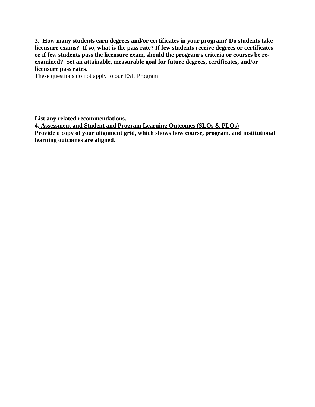**3. How many students earn degrees and/or certificates in your program? Do students take licensure exams? If so, what is the pass rate? If few students receive degrees or certificates or if few students pass the licensure exam, should the program's criteria or courses be reexamined? Set an attainable, measurable goal for future degrees, certificates, and/or licensure pass rates.**

These questions do not apply to our ESL Program.

**List any related recommendations.** 

**4. Assessment and Student and Program Learning Outcomes (SLOs & PLOs)**

**Provide a copy of your alignment grid, which shows how course, program, and institutional learning outcomes are aligned.**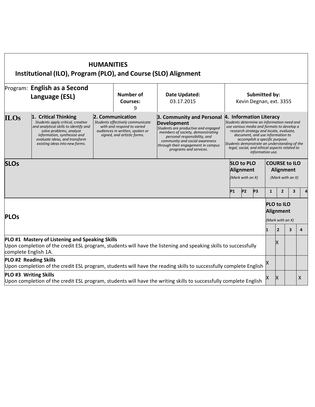|                                                                          | Institutional (ILO), Program (PLO), and Course (SLO) Alignment                                                                                                                                                                  | <b>HUMANITIES</b> |                                                                                                                                  |                                                                                                                                                                                                                                                                                |                                                                                                                                                                                                                                                                                                                                |                |                                                              |              |                                                           |   |                    |
|--------------------------------------------------------------------------|---------------------------------------------------------------------------------------------------------------------------------------------------------------------------------------------------------------------------------|-------------------|----------------------------------------------------------------------------------------------------------------------------------|--------------------------------------------------------------------------------------------------------------------------------------------------------------------------------------------------------------------------------------------------------------------------------|--------------------------------------------------------------------------------------------------------------------------------------------------------------------------------------------------------------------------------------------------------------------------------------------------------------------------------|----------------|--------------------------------------------------------------|--------------|-----------------------------------------------------------|---|--------------------|
|                                                                          | Program: English as a Second<br>Language (ESL)                                                                                                                                                                                  |                   | <b>Number of</b><br><b>Courses:</b><br>9                                                                                         | Date Updated:<br>03.17.2015                                                                                                                                                                                                                                                    |                                                                                                                                                                                                                                                                                                                                |                | Submitted by:<br>Kevin Degnan, ext. 3355                     |              |                                                           |   |                    |
| <b>ILOs</b>                                                              | 1. Critical Thinking<br>Students apply critical, creative<br>and analytical skills to identify and<br>solve problems, analyze<br>information, synthesize and<br>evaluate ideas, and transform<br>existing ideas into new forms. | 2. Communication  | Students effectively communicate<br>with and respond to varied<br>audiences in written, spoken or<br>signed, and artistic forms. | 3. Community and Personal 4. Information Literacy<br>Development<br>Students are productive and engaged<br>members of society, demonstrating<br>personal responsibility, and<br>community and social awareness<br>through their engagement in campus<br>programs and services. | Students determine an information need and<br>use various media and formats to develop a<br>research strategy and locate, evaluate,<br>document, and use information to<br>accomplish a specific purpose.<br>Students demonstrate an understanding of the<br>legal, social, and ethical aspects related to<br>information use. |                |                                                              |              |                                                           |   |                    |
| <b>SLO to PLO</b><br><b>SLOs</b><br><b>Alignment</b><br>(Mark with an X) |                                                                                                                                                                                                                                 |                   |                                                                                                                                  |                                                                                                                                                                                                                                                                                |                                                                                                                                                                                                                                                                                                                                |                | <b>COURSE to ILO</b><br><b>Alignment</b><br>(Mark with an X) |              |                                                           |   |                    |
|                                                                          |                                                                                                                                                                                                                                 |                   |                                                                                                                                  |                                                                                                                                                                                                                                                                                | P <sub>1</sub>                                                                                                                                                                                                                                                                                                                 | P <sub>2</sub> | P <sub>3</sub>                                               | $\mathbf{1}$ | $\overline{2}$                                            | 3 |                    |
| <b>PLOs</b>                                                              |                                                                                                                                                                                                                                 |                   |                                                                                                                                  |                                                                                                                                                                                                                                                                                |                                                                                                                                                                                                                                                                                                                                |                |                                                              |              | <b>PLO to ILO</b><br><b>Alignment</b><br>(Mark with an X) |   |                    |
|                                                                          |                                                                                                                                                                                                                                 |                   |                                                                                                                                  |                                                                                                                                                                                                                                                                                |                                                                                                                                                                                                                                                                                                                                |                |                                                              |              | $\overline{2}$                                            | 3 | 4                  |
|                                                                          | PLO #1 Mastery of Listening and Speaking Skills<br>complete English 1A.                                                                                                                                                         |                   |                                                                                                                                  | Upon completion of the credit ESL program, students will have the listening and speaking skills to successfully                                                                                                                                                                |                                                                                                                                                                                                                                                                                                                                |                |                                                              |              | x                                                         |   |                    |
|                                                                          | PLO #2 Reading Skills                                                                                                                                                                                                           |                   |                                                                                                                                  | Upon completion of the credit ESL program, students will have the reading skills to successfully complete English                                                                                                                                                              |                                                                                                                                                                                                                                                                                                                                |                |                                                              |              |                                                           |   |                    |
|                                                                          | PLO #3 Writing Skills                                                                                                                                                                                                           |                   |                                                                                                                                  | Upon completion of the credit ESL program, students will have the writing skills to successfully complete English                                                                                                                                                              |                                                                                                                                                                                                                                                                                                                                |                |                                                              |              | X                                                         |   | $\pmb{\mathsf{X}}$ |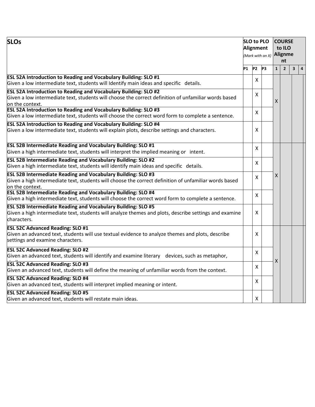| <b>SLOs</b>                                                                                                                                                                                       |                | <b>SLO to PLO</b><br>Alignment | (Mark with an X) |              | <b>COURSE</b><br>to ILO<br>Alignme<br>nt |                         |                |
|---------------------------------------------------------------------------------------------------------------------------------------------------------------------------------------------------|----------------|--------------------------------|------------------|--------------|------------------------------------------|-------------------------|----------------|
|                                                                                                                                                                                                   | P <sub>1</sub> | P <sub>2</sub>                 | P <sub>3</sub>   | $\mathbf{1}$ | $\overline{2}$                           | $\overline{\mathbf{3}}$ | $\overline{4}$ |
| <b>ESL 52A Introduction to Reading and Vocabulary Building: SLO #1</b><br>Given a low intermediate text, students will Identify main ideas and specific details.                                  |                | X                              |                  |              |                                          |                         |                |
| <b>ESL 52A Introduction to Reading and Vocabulary Building: SLO #2</b><br>Given a low intermediate text, students will choose the correct definition of unfamiliar words based<br>on the context. |                | X                              |                  | X            |                                          |                         |                |
| ESL 52A Introduction to Reading and Vocabulary Building: SLO #3<br>Given a low intermediate text, students will choose the correct word form to complete a sentence.                              |                | X                              |                  |              |                                          |                         |                |
| ESL 52A Introduction to Reading and Vocabulary Building: SLO #4<br>Given a low intermediate text, students will explain plots, describe settings and characters.                                  |                | x                              |                  |              |                                          |                         |                |
| <b>ESL 52B Intermediate Reading and Vocabulary Building: SLO #1</b><br>Given a high intermediate text, students will interpret the implied meaning or intent.                                     |                | X                              |                  |              |                                          |                         |                |
| ESL 52B Intermediate Reading and Vocabulary Building: SLO #2<br>Given a high intermediate text, students will identify main ideas and specific details.                                           |                | X                              |                  |              |                                          |                         |                |
| <b>ESL 52B Intermediate Reading and Vocabulary Building: SLO #3</b><br>Given a high intermediate text, students will choose the correct definition of unfamiliar words based<br>on the context.   |                | X                              |                  | Χ            |                                          |                         |                |
| <b>ESL 52B Intermediate Reading and Vocabulary Building: SLO #4</b><br>Given a high intermediate text, students will choose the correct word form to complete a sentence.                         |                | X                              |                  |              |                                          |                         |                |
| <b>ESL 52B Intermediate Reading and Vocabulary Building: SLO #5</b><br>Given a high intermediate text, students will analyze themes and plots, describe settings and examine<br>characters.       |                | X                              |                  |              |                                          |                         |                |
| <b>ESL 52C Advanced Reading: SLO #1</b><br>Given an advanced text, students will use textual evidence to analyze themes and plots, describe<br>settings and examine characters.                   |                | X                              |                  |              |                                          |                         |                |
| <b>ESL 52C Advanced Reading: SLO #2</b><br>Given an advanced text, students will identify and examine literary devices, such as metaphor,                                                         |                | X                              |                  |              |                                          |                         |                |
| <b>ESL 52C Advanced Reading: SLO #3</b><br>Given an advanced text, students will define the meaning of unfamiliar words from the context.                                                         |                | X                              |                  | X            |                                          |                         |                |
| <b>ESL 52C Advanced Reading: SLO #4</b><br>Given an advanced text, students will interpret implied meaning or intent.                                                                             |                | X                              |                  |              |                                          |                         |                |
| <b>ESL 52C Advanced Reading: SLO #5</b><br>Given an advanced text, students will restate main ideas.                                                                                              |                | $\pmb{\mathsf{X}}$             |                  |              |                                          |                         |                |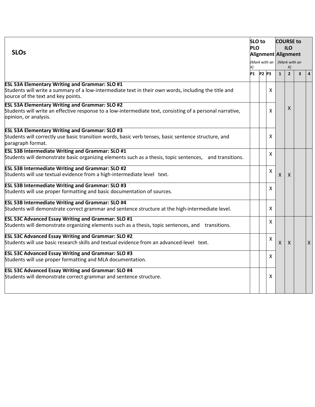| <b>SLOs</b>                                                                                                                                                                                         | SLO <sub>to</sub><br><b>PLO</b><br>(Mark with an   (Mark with an<br>X) |           |                           | <b>COURSE to</b><br><b>ILO</b><br>Alignment Alignment |                |   |                           |  |
|-----------------------------------------------------------------------------------------------------------------------------------------------------------------------------------------------------|------------------------------------------------------------------------|-----------|---------------------------|-------------------------------------------------------|----------------|---|---------------------------|--|
|                                                                                                                                                                                                     |                                                                        |           |                           |                                                       |                |   |                           |  |
|                                                                                                                                                                                                     | P1                                                                     | $P2$ $P3$ |                           | $\mathbf{1}$                                          | $\overline{2}$ | 3 | $\overline{4}$            |  |
| <b>ESL 53A Elementary Writing and Grammar: SLO #1</b><br>Students will write a summary of a low-intermediate text in their own words, including the title and<br>source of the text and key points. |                                                                        |           | X                         |                                                       |                |   |                           |  |
| <b>ESL 53A Elementary Writing and Grammar: SLO #2</b><br>Students will write an effective response to a low-intermediate text, consisting of a personal narrative,<br>opinion, or analysis.         |                                                                        |           | X                         |                                                       | X              |   |                           |  |
| <b>ESL 53A Elementary Writing and Grammar: SLO #3</b><br>Students will correctly use basic transition words, basic verb tenses, basic sentence structure, and<br>paragraph format.                  |                                                                        |           | $\boldsymbol{\mathsf{X}}$ |                                                       |                |   |                           |  |
| <b>ESL 53B Intermediate Writing and Grammar: SLO #1</b><br>Students will demonstrate basic organizing elements such as a thesis, topic sentences, and transitions.                                  |                                                                        |           | X                         |                                                       |                |   |                           |  |
| <b>ESL 53B Intermediate Writing and Grammar: SLO #2</b><br>Students will use textual evidence from a high-intermediate level text.                                                                  |                                                                        |           | $\pmb{\mathsf{X}}$        | $\mathsf{X}$                                          | $\mathsf{X}$   |   |                           |  |
| <b>ESL 53B Intermediate Writing and Grammar: SLO #3</b><br>Students will use proper formatting and basic documentation of sources.                                                                  |                                                                        |           | X                         |                                                       |                |   |                           |  |
| <b>ESL 53B Intermediate Writing and Grammar: SLO #4</b><br>Students will demonstrate correct grammar and sentence structure at the high-intermediate level.                                         |                                                                        |           | X                         |                                                       |                |   |                           |  |
| <b>ESL 53C Advanced Essay Writing and Grammar: SLO #1</b><br>Students will demonstrate organizing elements such as a thesis, topic sentences, and transitions.                                      |                                                                        |           | $\boldsymbol{\mathsf{X}}$ |                                                       |                |   |                           |  |
| <b>ESL 53C Advanced Essay Writing and Grammar: SLO #2</b><br>Students will use basic research skills and textual evidence from an advanced-level text.                                              |                                                                        |           | $\pmb{\mathsf{X}}$        | $\mathsf{X}$                                          | X              |   | $\boldsymbol{\mathsf{X}}$ |  |
| <b>ESL 53C Advanced Essay Writing and Grammar: SLO #3</b><br>Students will use proper formatting and MLA documentation.                                                                             |                                                                        |           | X                         |                                                       |                |   |                           |  |
| <b>ESL 53C Advanced Essay Writing and Grammar: SLO #4</b><br>Students will demonstrate correct grammar and sentence structure.                                                                      |                                                                        |           | X                         |                                                       |                |   |                           |  |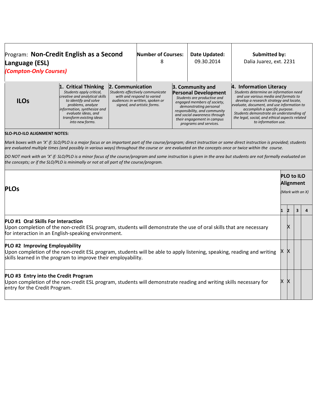| Program: Non-Credit English as a Second<br>Language (ESL)<br>(Compton-Only Courses) | <b>Number of Courses:</b><br>8                                                                                                                                                                                                        | Date Updated:<br>09.30.2014 | Submitted by:<br>Dalia Juarez, ext. 2231                                                                                         |                                                                                                                                                                                                                                                                  |                                                                                                                                                                                                                                                                                                                                                           |  |  |
|-------------------------------------------------------------------------------------|---------------------------------------------------------------------------------------------------------------------------------------------------------------------------------------------------------------------------------------|-----------------------------|----------------------------------------------------------------------------------------------------------------------------------|------------------------------------------------------------------------------------------------------------------------------------------------------------------------------------------------------------------------------------------------------------------|-----------------------------------------------------------------------------------------------------------------------------------------------------------------------------------------------------------------------------------------------------------------------------------------------------------------------------------------------------------|--|--|
| <b>ILOs</b>                                                                         | 1. Critical Thinking<br>Students apply critical,<br>creative and analytical skills<br>to identify and solve<br>problems, analyze<br>information, synthesize and<br>evaluate ideas, and<br>transform existing ideas<br>into new forms. | 2. Communication            | Students effectively communicate<br>with and respond to varied<br>audiences in written, spoken or<br>signed, and artistic forms. | 3. Community and<br><b>Personal Development</b><br>Students are productive and<br>engaged members of society,<br>demonstrating personal<br>responsibility, and community<br>and social awareness through<br>their engagement in campus<br>programs and services. | 4. Information Literacy<br>Students determine an information need<br>and use various media and formats to<br>develop a research strategy and locate,<br>evaluate, document, and use information to<br>accomplish a specific purpose.<br>Students demonstrate an understanding of<br>the legal, social, and ethical aspects related<br>to information use. |  |  |

#### **SLO-PLO-ILO ALIGNMENT NOTES:**

*Mark boxes with an 'X' if: SLO/PLO is a major focus or an important part of the course/program; direct instruction or some direct instruction is provided; students are evaluated multiple times (and possibly in various ways) throughout the course or are evaluated on the concepts once or twice within the course.*

*DO NOT mark with an 'X' if: SLO/PLO is a minor focus of the course/program and some instruction is given in the area but students are not formally evaluated on the concepts; or if the SLO/PLO is minimally or not at all part of the course/program.*

| <b>PLOS</b>                                                                                                                                                                                                               |   |                | <b>PLO to ILO</b><br>Alignment<br>(Mark with an X) |   |  |
|---------------------------------------------------------------------------------------------------------------------------------------------------------------------------------------------------------------------------|---|----------------|----------------------------------------------------|---|--|
|                                                                                                                                                                                                                           |   | $\overline{2}$ | $\overline{\mathbf{3}}$                            | 4 |  |
| <b>PLO #1 Oral Skills For Interaction</b><br>Upon completion of the non-credit ESL program, students will demonstrate the use of oral skills that are necessary<br>for interaction in an English-speaking environment.    |   | ΙX             |                                                    |   |  |
| PLO #2 Improving Employability<br>Upon completion of the non-credit ESL program, students will be able to apply listening, speaking, reading and writing<br>skills learned in the program to improve their employability. |   |                |                                                    |   |  |
| PLO #3 Entry into the Credit Program<br>Upon completion of the non-credit ESL program, students will demonstrate reading and writing skills necessary for<br>entry for the Credit Program.                                | X | х              |                                                    |   |  |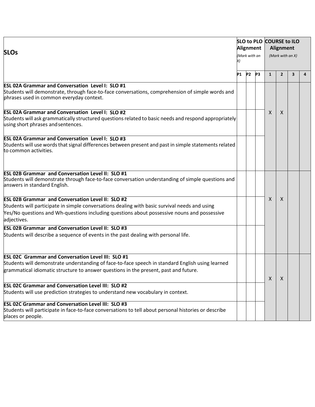| <b>SLOs</b>                                                                                                                                                                                                                                                             | Alignment<br>(Mark with an |           | <b>SLO to PLO COURSE to ILO</b><br><b>Alignment</b><br>(Mark with an X) |              |                           |   |   |
|-------------------------------------------------------------------------------------------------------------------------------------------------------------------------------------------------------------------------------------------------------------------------|----------------------------|-----------|-------------------------------------------------------------------------|--------------|---------------------------|---|---|
|                                                                                                                                                                                                                                                                         | P1                         | <b>P2</b> | P3                                                                      | $\mathbf{1}$ | $\overline{2}$            | 3 | 4 |
| <b>ESL 02A Grammar and Conversation Level I: SLO #1</b><br>Students will demonstrate, through face-to-face conversations, comprehension of simple words and<br>phrases used in common everyday context.                                                                 |                            |           |                                                                         |              |                           |   |   |
| <b>ESL 02A Grammar and Conversation Level I: SLO #2</b><br>Students will ask grammatically structured questions related to basic needs and respond appropriately<br>using short phrases and sentences.                                                                  |                            |           |                                                                         | X            | $\mathsf{X}$              |   |   |
| <b>ESL 02A Grammar and Conversation Level I: SLO #3</b><br>Students will use words that signal differences between present and past in simple statements related<br>to common activities.                                                                               |                            |           |                                                                         |              |                           |   |   |
| <b>ESL 02B Grammar and Conversation Level II: SLO #1</b><br>Students will demonstrate through face-to-face conversation understanding of simple questions and<br>answers in standard English.                                                                           |                            |           |                                                                         |              |                           |   |   |
| <b>ESL 02B Grammar and Conversation Level II: SLO #2</b><br>Students will participate in simple conversations dealing with basic survival needs and using<br>Yes/No questions and Wh-questions including questions about possessive nouns and possessive<br>adjectives. |                            |           |                                                                         | X            | $\boldsymbol{\mathsf{X}}$ |   |   |
| <b>ESL 02B Grammar and Conversation Level II: SLO #3</b><br>Students will describe a sequence of events in the past dealing with personal life.                                                                                                                         |                            |           |                                                                         |              |                           |   |   |
| <b>ESL 02C Grammar and Conversation Level III: SLO #1</b><br>Students will demonstrate understanding of face-to-face speech in standard English using learned<br>grammatical idiomatic structure to answer questions in the present, past and future.                   |                            |           |                                                                         | X            | X                         |   |   |
| <b>ESL 02C Grammar and Conversation Level III: SLO #2</b><br>Students will use prediction strategies to understand new vocabulary in context.                                                                                                                           |                            |           |                                                                         |              |                           |   |   |
| <b>ESL 02C Grammar and Conversation Level III: SLO #3</b><br>Students will participate in face-to-face conversations to tell about personal histories or describe<br>places or people.                                                                                  |                            |           |                                                                         |              |                           |   |   |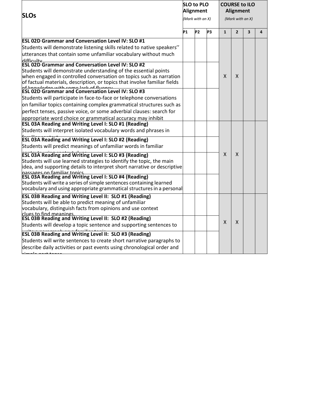| <b>SLOs</b>                                                                                             | <b>SLO to PLO</b><br><b>Alignment</b><br>(Mark with an X) |                |    | <b>COURSE to ILO</b><br><b>Alignment</b><br>(Mark with an X) |                |                         |   |
|---------------------------------------------------------------------------------------------------------|-----------------------------------------------------------|----------------|----|--------------------------------------------------------------|----------------|-------------------------|---|
|                                                                                                         | <b>P1</b>                                                 | P <sub>2</sub> | P3 | $\mathbf{1}$                                                 | $\overline{2}$ | $\overline{\mathbf{3}}$ | 4 |
| <b>ESL 02D Grammar and Conversation Level IV: SLO #1</b>                                                |                                                           |                |    |                                                              |                |                         |   |
| Students will demonstrate listening skills related to native speakers"                                  |                                                           |                |    |                                                              |                |                         |   |
| utterances that contain some unfamiliar vocabulary without much                                         |                                                           |                |    |                                                              |                |                         |   |
| difficulty<br><b>ESL 02D Grammar and Conversation Level IV: SLO #2</b>                                  |                                                           |                |    |                                                              |                |                         |   |
| Students will demonstrate understanding of the essential points                                         |                                                           |                |    |                                                              |                |                         |   |
| when engaged in controlled conversation on topics such as narration                                     |                                                           |                |    | X                                                            | X              |                         |   |
| of factual materials, description, or topics that involve familiar fields                               |                                                           |                |    |                                                              |                |                         |   |
| of knowledge with some lack of fluorey                                                                  |                                                           |                |    |                                                              |                |                         |   |
| Students will participate in face-to-face or telephone conversations                                    |                                                           |                |    |                                                              |                |                         |   |
| on familiar topics containing complex grammatical structures such as                                    |                                                           |                |    |                                                              |                |                         |   |
| perfect tenses, passive voice, or some adverbial clauses: search for                                    |                                                           |                |    |                                                              |                |                         |   |
| appropriate word choice or grammatical accuracy may inhibit                                             |                                                           |                |    |                                                              |                |                         |   |
| <b>ESL 03A Reading and Writing Level I: SLO #1 (Reading)</b>                                            |                                                           |                |    |                                                              |                |                         |   |
| Students will interpret isolated vocabulary words and phrases in                                        |                                                           |                |    |                                                              |                |                         |   |
| <b>ESL 03A Reading and Writing Level I: SLO #2 (Reading)</b>                                            |                                                           |                |    |                                                              |                |                         |   |
| Students will predict meanings of unfamiliar words in familiar                                          |                                                           |                |    |                                                              |                |                         |   |
| <b>ESL 03A Reading and Writing Level I: SLO #3 (Reading)</b>                                            |                                                           |                |    | $\mathsf{X}$                                                 | X              |                         |   |
| Students will use learned strategies to identify the topic, the main                                    |                                                           |                |    |                                                              |                |                         |   |
| idea, and supporting details to interpret short narrative or descriptive<br>passages on familiar topics |                                                           |                |    |                                                              |                |                         |   |
| <b>ESL 03A Reading and Writing Level I: SLO #4 (Reading)</b>                                            |                                                           |                |    |                                                              |                |                         |   |
| Students will write a series of simple sentences containing learned                                     |                                                           |                |    |                                                              |                |                         |   |
| vocabulary and using appropriate grammatical structures in a personal                                   |                                                           |                |    |                                                              |                |                         |   |
| <b>ESL 03B Reading and Writing Level II: SLO #1 (Reading)</b>                                           |                                                           |                |    |                                                              |                |                         |   |
| Students will be able to predict meaning of unfamiliar                                                  |                                                           |                |    |                                                              |                |                         |   |
| vocabulary, distinguish facts from opinions and use context<br>clues to find meanings                   |                                                           |                |    |                                                              |                |                         |   |
| <b>ESL 03B Reading and Writing Level II: SLO #2 (Reading)</b>                                           |                                                           |                |    |                                                              |                |                         |   |
| Students will develop a topic sentence and supporting sentences to                                      |                                                           |                |    | X                                                            | X              |                         |   |
| <b>ESL 03B Reading and Writing Level II: SLO #3 (Reading)</b>                                           |                                                           |                |    |                                                              |                |                         |   |
| Students will write sentences to create short narrative paragraphs to                                   |                                                           |                |    |                                                              |                |                         |   |
| describe daily activities or past events using chronological order and                                  |                                                           |                |    |                                                              |                |                         |   |
| معممة خممم ملممه                                                                                        |                                                           |                |    |                                                              |                |                         |   |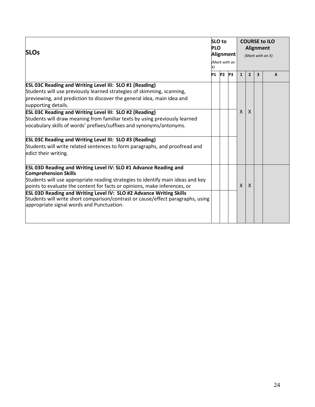| <b>SLOs</b>                                                                                                                                                                                                                                                                                                                                                                                                                                                                   | SLO <sub>to</sub><br><b>PLO</b><br>Alignment<br>(Mark with an |           | <b>COURSE to ILO</b><br><b>Alignment</b><br>(Mark with an X) |              |                |   |   |
|-------------------------------------------------------------------------------------------------------------------------------------------------------------------------------------------------------------------------------------------------------------------------------------------------------------------------------------------------------------------------------------------------------------------------------------------------------------------------------|---------------------------------------------------------------|-----------|--------------------------------------------------------------|--------------|----------------|---|---|
|                                                                                                                                                                                                                                                                                                                                                                                                                                                                               | P <sub>1</sub>                                                | <b>P2</b> | P <sub>3</sub>                                               | $\mathbf{1}$ | $\overline{2}$ | 3 | 4 |
| <b>ESL 03C Reading and Writing Level III: SLO #1 (Reading)</b><br>Students will use previously learned strategies of skimming, scanning,<br>previewing, and prediction to discover the general idea, main idea and<br>supporting details.                                                                                                                                                                                                                                     |                                                               |           |                                                              |              |                |   |   |
| <b>ESL 03C Reading and Writing Level III: SLO #2 (Reading)</b><br>Students will draw meaning from familiar texts by using previously learned<br>vocabulary skills of words' prefixes/suffixes and synonyms/antonyms.                                                                                                                                                                                                                                                          |                                                               |           |                                                              | $\mathsf{x}$ | $\mathsf{x}$   |   |   |
| <b>ESL 03C Reading and Writing Level III: SLO #3 (Reading)</b><br>Students will write related sentences to form paragraphs, and proofread and<br>edict their writing.                                                                                                                                                                                                                                                                                                         |                                                               |           |                                                              |              |                |   |   |
| ESL 03D Reading and Writing Level IV: SLO #1 Advance Reading and<br><b>Comprehension Skills</b><br>Students will use appropriate reading strategies to identify main ideas and key<br>points to evaluate the content for facts or opinions, make inferences, or<br><b>ESL 03D Reading and Writing Level IV: SLO #2 Advance Writing Skills</b><br>Students will write short comparison/contrast or cause/effect paragraphs, using<br>appropriate signal words and Punctuation. |                                                               |           |                                                              | X            | $\mathsf{X}$   |   |   |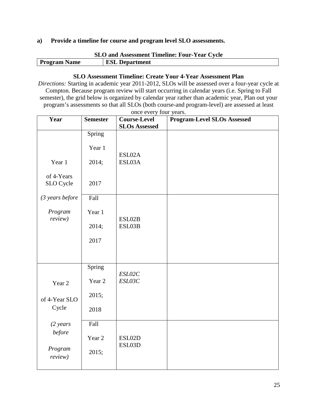#### **a) Provide a timeline for course and program level SLO assessments.**

|                     | <b>SLO and Assessment Timeline: Four-Year Cycle</b> |
|---------------------|-----------------------------------------------------|
| <b>Program Name</b> | <b>ESL Department</b>                               |

### **SLO Assessment Timeline: Create Your 4-Year Assessment Plan**

*Directions:* Starting in academic year 2011-2012, SLOs will be assessed over a four-year cycle at Compton. Because program review will start occurring in calendar years (i.e. Spring to Fall semester), the grid below is organized by calendar year rather than academic year, Plan out your program's assessments so that all SLOs (both course-and program-level) are assessed at least once every four years.

| Year                    | <b>Semester</b>  | <b>Course-Level</b>  | <b>Program-Level SLOs Assessed</b> |
|-------------------------|------------------|----------------------|------------------------------------|
|                         |                  | <b>SLOs Assessed</b> |                                    |
|                         | Spring<br>Year 1 | ESL02A               |                                    |
| Year 1                  | 2014;            | ESL03A               |                                    |
| of 4-Years<br>SLO Cycle | 2017             |                      |                                    |
| $(3$ years before       | Fall             |                      |                                    |
| Program<br>review)      | Year 1           | ESL02B               |                                    |
|                         | 2014;            | ESL03B               |                                    |
|                         | 2017             |                      |                                    |
|                         |                  |                      |                                    |
|                         | Spring           | ESL02C               |                                    |
| Year 2                  | Year 2           | ESL03C               |                                    |
| of 4-Year SLO           | 2015;            |                      |                                    |
| Cycle                   | 2018             |                      |                                    |
| $(2 \text{ years})$     | Fall             |                      |                                    |
| before                  | Year 2           | ESL02D<br>ESL03D     |                                    |
| Program<br>review)      | 2015;            |                      |                                    |
|                         |                  |                      |                                    |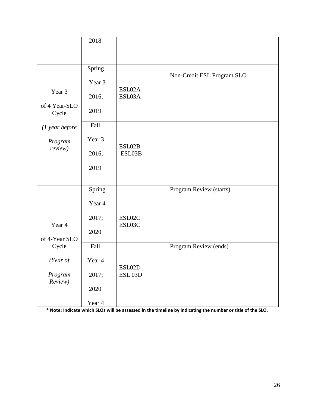|                  | 2018     |                          |                            |
|------------------|----------|--------------------------|----------------------------|
|                  |          |                          |                            |
|                  |          |                          |                            |
|                  | Spring   |                          |                            |
|                  | Year 3   |                          | Non-Credit ESL Program SLO |
| Year 3           |          | ESL02A                   |                            |
|                  | 2016;    | ESL03A                   |                            |
| of 4 Year-SLO    |          |                          |                            |
| Cycle            | 2019     |                          |                            |
| $(1$ year before | Fall     |                          |                            |
|                  |          |                          |                            |
| Program          | Year 3   | ESL02B                   |                            |
| review)          | 2016;    | ESL03B                   |                            |
|                  |          |                          |                            |
|                  | 2019     |                          |                            |
|                  |          |                          |                            |
|                  | Spring   |                          | Program Review (starts)    |
|                  | Year 4   |                          |                            |
|                  |          |                          |                            |
|                  | 2017;    | ESL02C                   |                            |
| Year 4           | 2020     | ESL03C                   |                            |
| of 4-Year SLO    |          |                          |                            |
| Cycle            | Fall     |                          | Program Review (ends)      |
|                  | Year 4   |                          |                            |
| (Year of         |          | ESL02D                   |                            |
| Program          | 2017;    | $\operatorname{ESL}$ 03D |                            |
| Review)          |          |                          |                            |
|                  | $2020\,$ |                          |                            |
|                  | Year 4   |                          |                            |

**\* Note: Indicate which SLOs will be assessed in the timeline by indicating the number or title of the SLO.**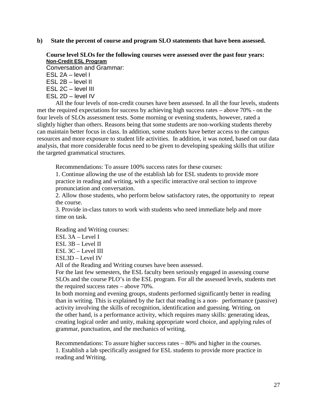#### **b) State the percent of course and program SLO statements that have been assessed.**

**Course level SLOs for the following courses were assessed over the past four years: Non-Credit ESL Program**

Conversation and Grammar:

ESL 2A – level I ESL 2B – level II ESL 2C – level III

ESL 2D – level IV

All the four levels of non-credit courses have been assessed. In all the four levels, students met the required expectations for success by achieving high success rates – above 70% - on the four levels of SLOs assessment tests. Some morning or evening students, however, rated a slightly higher than others. Reasons being that some students are non-working students thereby can maintain better focus in class. In addition, some students have better access to the campus resources and more exposure to student life activities. In addition, it was noted, based on our data analysis, that more considerable focus need to be given to developing speaking skills that utilize the targeted grammatical structures.

Recommendations: To assure 100% success rates for these courses:

1. Continue allowing the use of the establish lab for ESL students to provide more practice in reading and writing, with a specific interactive oral section to improve pronunciation and conversation.

2. Allow those students, who perform below satisfactory rates, the opportunity to repeat the course.

3. Provide in-class tutors to work with students who need immediate help and more time on task*.*

Reading and Writing courses:

ESL 3A – Level I ESL 3B – Level II ESL 3C – Level III

ESL3D – Level IV

All of the Reading and Writing courses have been assessed.

For the last few semesters, the ESL faculty been seriously engaged in assessing course SLOs and the course PLO's in the ESL program. For all the assessed levels, students met the required success rates – above 70%.

In both morning and evening groups, students performed significantly better in reading than in writing. This is explained by the fact that reading is a non- performance (passive) activity involving the skills of recognition, identification and guessing. Writing, on the other hand, is a performance activity, which requires many skills: generating ideas, creating logical order and unity, making appropriate word choice, and applying rules of grammar, punctuation, and the mechanics of writing.

Recommendations: To assure higher success rates – 80% and higher in the courses. 1. Establish a lab specifically assigned for ESL students to provide more practice in reading and Writing.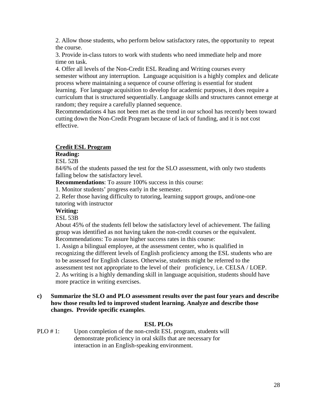2. Allow those students, who perform below satisfactory rates, the opportunity to repeat the course.

3. Provide in-class tutors to work with students who need immediate help and more time on task.

4. Offer all levels of the Non-Credit ESL Reading and Writing courses every semester without any interruption. Language acquisition is a highly complex and delicate process where maintaining a sequence of course offering is essential for student learning. For language acquisition to develop for academic purposes, it does require a curriculum that is structured sequentially. Language skills and structures cannot emerge at random; they require a carefully planned sequence.

Recommendations 4 has not been met as the trend in our school has recently been toward cutting down the Non-Credit Program because of lack of funding, and it is not cost effective.

### **Credit ESL Program**

# **Reading:**

#### ESL 52B

84/6% of the students passed the test for the SLO assessment, with only two students falling below the satisfactory level.

**Recommendations**: To assure 100% success in this course:

1. Monitor students' progress early in the semester.

2. Refer those having difficulty to tutoring, learning support groups, and/one-one tutoring with instructor

### **Writing:**

### ESL 53B

About 45% of the students fell below the satisfactory level of achievement. The failing group was identified as not having taken the non-credit courses or the equivalent. Recommendations: To assure higher success rates in this course:

1. Assign a bilingual employee, at the assessment center, who is qualified in recognizing the different levels of English proficiency among the ESL students who are to be assessed for English classes. Otherwise, students might be referred to the assessment test not appropriate to the level of their proficiency, i.e. CELSA / LOEP. 2. As writing is a highly demanding skill in language acquisition, students should have more practice in writing exercises.

#### **c) Summarize the SLO and PLO assessment results over the past four years and describe how those results led to improved student learning. Analyze and describe those changes. Provide specific examples**.

### **ESL PLOs**

PLO # 1: Upon completion of the non-credit ESL program, students will demonstrate proficiency in oral skills that are necessary for interaction in an English-speaking environment.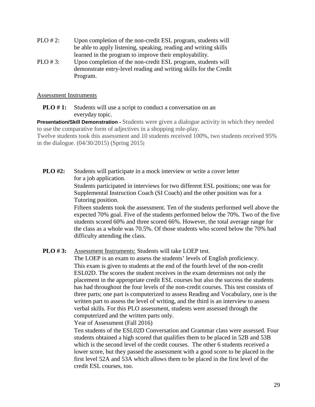- PLO # 2: Upon completion of the non-credit ESL program, students will be able to apply listening, speaking, reading and writing skills learned in the program to improve their employability.
- PLO # 3: Upon completion of the non-credit ESL program, students will demonstrate entry-level reading and writing skills for the Credit Program.

#### Assessment Instruments

**PLO** #1: Students will use a script to conduct a conversation on an everyday topic.

**Presentation/Skill Demonstration -** Students were given a dialogue activity in which they needed to use the comparative form of adjectives in a shopping role-play.

Twelve students took this assessment and 10 students received 100%, two students received 95% in the dialogue. (04/30/2015) (Spring 2015)

**PLO #2:** Students will participate in a mock interview or write a cover letter for a job application.

Students participated in interviews for two different ESL positions; one was for Supplemental Instruction Coach (SI Coach) and the other position was for a Tutoring position.

Fifteen students took the assessment. Ten of the students performed well above the expected 70% goal. Five of the students performed below the 70%. Two of the five students scored 60% and three scored 66%. However, the total average range for the class as a whole was 70.5%. Of those students who scored below the 70% had difficulty attending the class.

### **PLO # 3:** Assessment Instruments: Students will take LOEP test.

The LOEP is an exam to assess the students' levels of English proficiency. This exam is given to students at the end of the fourth level of the non-credit ESL02D. The scores the student receives in the exam determines not only the placement in the appropriate credit ESL courses but also the success the students has had throughout the four levels of the non-credit courses. This test consists of three parts; one part is computerized to assess Reading and Vocabulary, one is the written part to assess the level of writing, and the third is an interview to assess verbal skills. For this PLO assessment, students were assessed through the computerized and the written parts only.

Year of Assessment (Fall 2016)

Ten students of the ESL02D Conversation and Grammar class were assessed. Four students obtained a high scored that qualifies them to be placed in 52B and 53B which is the second level of the credit courses. The other 6 students received a lower score, but they passed the assessment with a good score to be placed in the first level 52A and 53A which allows them to be placed in the first level of the credit ESL courses, too.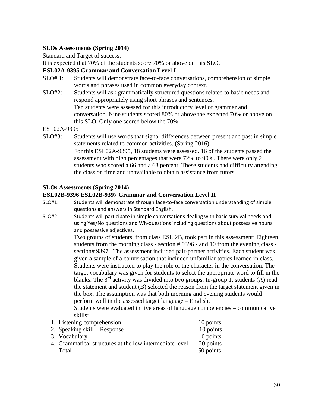# **SLOs Assessments (Spring 2014)**

Standard and Target of success:

It is expected that 70% of the students score 70% or above on this SLO.

# **ESL02A-9395 Grammar and Conversation Level I**

- SLO# 1: Students will demonstrate face-to-face conversations, comprehension of simple words and phrases used in common everyday context.
- SLO#2: Students will ask grammatically structured questions related to basic needs and respond appropriately using short phrases and sentences. Ten students were assessed for this introductory level of grammar and conversation. Nine students scored 80% or above the expected 70% or above on this SLO. Only one scored below the 70%.

ESL02A-9395

SLO#3: Students will use words that signal differences between present and past in simple statements related to common activities. (Spring 2016) For this ESL02A-9395, 18 students were assessed. 16 of the students passed the assessment with high percentages that were 72% to 90%. There were only 2 students who scored a 66 and a 68 percent. These students had difficulty attending the class on time and unavailable to obtain assistance from tutors.

# **SLOs Assessments (Spring 2014)**

### **ESL02B-9396 ESL02B-9397 Grammar and Conversation Level II**

- SLO#1: Students will demonstrate through face-to-face conversation understanding of simple questions and answers in Standard English.
- SLO#2: Students will participate in simple conversations dealing with basic survival needs and using Yes/No questions and Wh-questions including questions about possessive nouns and possessive adjectives.

Two groups of students, from class ESL 2B, took part in this assessment: Eighteen students from the morning class - section # 9396 - and 10 from the evening class section# 9397. The assessment included pair-partner activities. Each student was given a sample of a conversation that included unfamiliar topics learned in class. Students were instructed to play the role of the character in the conversation. The target vocabulary was given for students to select the appropriate word to fill in the blanks. The  $3<sup>rd</sup>$  activity was divided into two groups. In-group 1, students (A) read the statement and student (B) selected the reason from the target statement given in the box. The assumption was that both morning and evening students would perform well in the assessed target language – English.

Students were evaluated in five areas of language competencies – communicative skills:

| 1. Listening comprehension                              | 10 points |
|---------------------------------------------------------|-----------|
| 2. Speaking skill – Response                            | 10 points |
| 3. Vocabulary                                           | 10 points |
| 4. Grammatical structures at the low intermediate level | 20 points |
| Total                                                   | 50 points |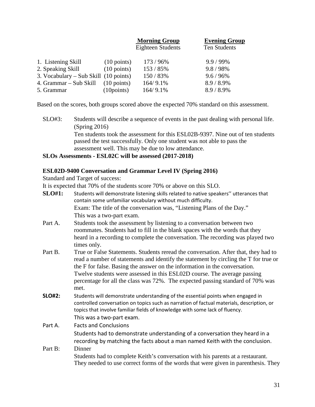|                                                 |                       | <b>Morning Group</b><br><b>Eighteen Students</b> | <b>Evening Group</b><br>Ten Students |
|-------------------------------------------------|-----------------------|--------------------------------------------------|--------------------------------------|
| 1. Listening Skill                              | $(10 \text{ points})$ | 173/96%                                          | $9.9 / 99\%$                         |
| 2. Speaking Skill                               | $(10 \text{ points})$ | 153 / 85%                                        | 9.8 / 98%                            |
| 3. Vocabulary – Sub Skill $(10 \text{ points})$ |                       | 150 / 83%                                        | $9.6 / 96\%$                         |
| 4. Grammar – Sub Skill                          | $(10 \text{ points})$ | 164/9.1%                                         | $8.9 / 8.9\%$                        |
| 5. Grammar                                      | (10 points)           | 164/9.1%                                         | $8.9 / 8.9\%$                        |

Based on the scores, both groups scored above the expected 70% standard on this assessment.

# **SLOs Assessments - ESL02C will be assessed (2017-2018)**

### **ESL02D-9400 Conversation and Grammar Level IV (Spring 2016)**

Standard and Target of success:

It is expected that 70% of the students score 70% or above on this SLO.

- **SLO#1:** Students will demonstrate listening skills related to native speakers'' utterances that contain some unfamiliar vocabulary without much difficulty. Exam: The title of the conversation was, "Listening Plans of the Day." This was a two-part exam.
- Part A. Students took the assessment by listening to a conversation between two roommates. Students had to fill in the blank spaces with the words that they heard in a recording to complete the conversation. The recording was played two times only.
- Part B. True or False Statements. Students reread the conversation. After that, they had to read a number of statements and identify the statement by circling the T for true or the F for false. Basing the answer on the information in the conversation. Twelve students were assessed in this ESL02D course. The average passing percentage for all the class was 72%. The expected passing standard of 70% was met.
- **SLO#2:** Students will demonstrate understanding of the essential points when engaged in controlled conversation on topics such as narration of factual materials, description, or topics that involve familiar fields of knowledge with some lack of fluency. This was a two-part exam.
- Part A. Facts and Conclusions Students had to demonstrate understanding of a conversation they heard in a recording by matching the facts about a man named Keith with the conclusion.
- Part B: Dinner Students had to complete Keith's conversation with his parents at a restaurant. They needed to use correct forms of the words that were given in parenthesis. They

SLO#3: Students will describe a sequence of events in the past dealing with personal life. (Spring 2016) Ten students took the assessment for this ESL02B-9397. Nine out of ten students passed the test successfully. Only one student was not able to pass the assessment well. This may be due to low attendance.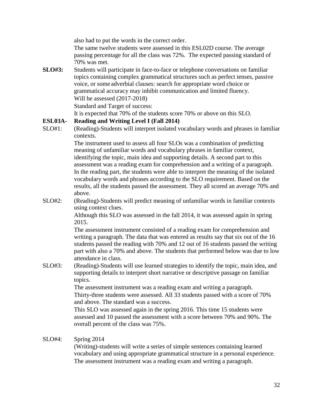also had to put the words in the correct order.

The same twelve students were assessed in this ESL02D course. The average passing percentage for all the class was 72%. The expected passing standard of 70% was met.

**SLO#3:** Students will participate in face-to-face or telephone conversations on familiar topics containing complex grammatical structures such as perfect tenses, passive voice, or some adverbial clauses: search for appropriate word choice or grammatical accuracy may inhibit communication and limited fluency. Will be assessed (2017-2018)

Standard and Target of success:

It is expected that 70% of the students score 70% or above on this SLO.

# **ESL03A- Reading and Writing Level I (Fall 2014)**

SLO#1: (Reading)-Students will interpret isolated vocabulary words and phrases in familiar contexts.

The instrument used to assess all four SLOs was a combination of predicting meaning of unfamiliar words and vocabulary phrases in familiar context, identifying the topic, main idea and supporting details. A second part to this assessment was a reading exam for comprehension and a writing of a paragraph. In the reading part, the students were able to interpret the meaning of the isolated vocabulary words and phrases according to the SLO requirement. Based on the results, all the students passed the assessment. They all scored an average 70% and above.

SLO#2: (Reading)-Students will predict meaning of unfamiliar words in familiar contexts using context clues.

> Although this SLO was assessed in the fall 2014, it was assessed again in spring 2015.

The assessment instrument consisted of a reading exam for comprehension and writing a paragraph. The data that was entered as results say that six out of the 16 students passed the reading with 70% and 12 out of 16 students passed the writing part with also a 70% and above. The students that performed below was due to low attendance in class.

SLO#3: (Reading)-Students will use learned strategies to identify the topic, main idea, and supporting details to interpret short narrative or descriptive passage on familiar topics.

> The assessment instrument was a reading exam and writing a paragraph. Thirty-three students were assessed. All 33 students passed with a score of 70% and above. The standard was a success.

> This SLO was assessed again in the spring 2016. This time 15 students were assessed and 10 passed the assessment with a score between 70% and 90%. The overall percent of the class was 75%.

### SLO#4: Spring 2014

(Writing)-students will write a series of simple sentences containing learned vocabulary and using appropriate grammatical structure in a personal experience. The assessment instrument was a reading exam and writing a paragraph.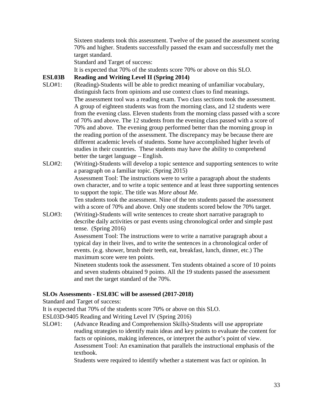Sixteen students took this assessment. Twelve of the passed the assessment scoring 70% and higher. Students successfully passed the exam and successfully met the target standard.

Standard and Target of success:

It is expected that 70% of the students score 70% or above on this SLO.

# **ESL03B Reading and Writing Level II (Spring 2014)**

- SLO#1: (Reading)-Students will be able to predict meaning of unfamiliar vocabulary, distinguish facts from opinions and use context clues to find meanings. The assessment tool was a reading exam. Two class sections took the assessment. A group of eighteen students was from the morning class, and 12 students were from the evening class. Eleven students from the morning class passed with a score of 70% and above. The 12 students from the evening class passed with a score of 70% and above. The evening group performed better than the morning group in the reading portion of the assessment. The discrepancy may be because there are different academic levels of students. Some have accomplished higher levels of studies in their countries. These students may have the ability to comprehend better the target language – English.
- SLO#2: (Writing)-Students will develop a topic sentence and supporting sentences to write a paragraph on a familiar topic. (Spring 2015) Assessment Tool: The instructions were to write a paragraph about the students own character, and to write a topic sentence and at least three supporting sentences to support the topic. The title was *More about Me.* Ten students took the assessment. Nine of the ten students passed the assessment with a score of 70% and above. Only one students scored below the 70% target.
- SLO#3: (Writing)-Students will write sentences to create short narrative paragraph to describe daily activities or past events using chronological order and simple past tense. (Spring 2016)

Assessment Tool: The instructions were to write a narrative paragraph about a typical day in their lives, and to write the sentences in a chronological order of events. (e.g. shower, brush their teeth, eat, breakfast, lunch, dinner, etc.) The maximum score were ten points.

Nineteen students took the assessment. Ten students obtained a score of 10 points and seven students obtained 9 points. All the 19 students passed the assessment and met the target standard of the 70%.

### **SLOs Assessments - ESL03C will be assessed (2017-2018)**

Standard and Target of success:

It is expected that 70% of the students score 70% or above on this SLO.

ESL03D-9405 Reading and Writing Level IV (Spring 2016)

SLO#1: (Advance Reading and Comprehension Skills)-Students will use appropriate reading strategies to identify main ideas and key points to evaluate the content for facts or opinions, making inferences, or interpret the author's point of view. Assessment Tool: An examination that parallels the instructional emphasis of the textbook.

Students were required to identify whether a statement was fact or opinion. In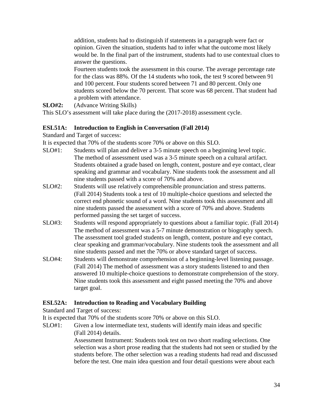addition, students had to distinguish if statements in a paragraph were fact or opinion. Given the situation, students had to infer what the outcome most likely would be. In the final part of the instrument, students had to use contextual clues to answer the questions.

Fourteen students took the assessment in this course. The average percentage rate for the class was 88%. Of the 14 students who took, the test 9 scored between 91 and 100 percent. Four students scored between 71 and 80 percent. Only one students scored below the 70 percent. That score was 68 percent. That student had a problem with attendance.

**SLO#2:** (Advance Writing Skills)

This SLO's assessment will take place during the (2017-2018) assessment cycle.

### **ESL51A: Introduction to English in Conversation (Fall 2014)**

Standard and Target of success:

It is expected that 70% of the students score 70% or above on this SLO.

- SLO#1: Students will plan and deliver a 3-5 minute speech on a beginning level topic. The method of assessment used was a 3-5 minute speech on a cultural artifact. Students obtained a grade based on length, content, posture and eye contact, clear speaking and grammar and vocabulary. Nine students took the assessment and all nine students passed with a score of 70% and above.
- SLO#2: Students will use relatively comprehensible pronunciation and stress patterns. (Fall 2014) Students took a test of 10 multiple-choice questions and selected the correct end phonetic sound of a word. Nine students took this assessment and all nine students passed the assessment with a score of 70% and above. Students performed passing the set target of success.
- SLO#3: Students will respond appropriately to questions about a familiar topic. (Fall 2014) The method of assessment was a 5-7 minute demonstration or biography speech. The assessment tool graded students on length, content, posture and eye contact, clear speaking and grammar/vocabulary. Nine students took the assessment and all nine students passed and met the 70% or above standard target of success.
- SLO#4: Students will demonstrate comprehension of a beginning-level listening passage. (Fall 2014) The method of assessment was a story students listened to and then answered 10 multiple-choice questions to demonstrate comprehension of the story. Nine students took this assessment and eight passed meeting the 70% and above target goal.

# **ESL52A: Introduction to Reading and Vocabulary Building**

Standard and Target of success:

It is expected that 70% of the students score 70% or above on this SLO.

SLO#1: Given a low intermediate text, students will identify main ideas and specific (Fall 2014) details.

> Assessment Instrument: Students took test on two short reading selections. One selection was a short prose reading that the students had not seen or studied by the students before. The other selection was a reading students had read and discussed before the test. One main idea question and four detail questions were about each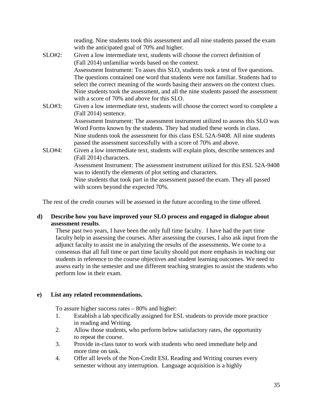reading. Nine students took this assessment and all nine students passed the exam with the anticipated goal of 70% and higher. SLO#2: Given a low intermediate text, students will choose the correct definition of (Fall 2014) unfamiliar words based on the context. Assessment Instrument: To asses this SLO, students took a test of five questions. The questions contained one word that students were not familiar. Students had to select the correct meaning of the words basing their answers on the context clues. Nine students took the assessment, and all the nine students passed the assessment with a score of 70% and above for this SLO. SLO#3: Given a low intermediate text, students will choose the correct word to complete a (Fall 2014) sentence. Assessment Instrument: The assessment instrument utilized to assess this SLO was Word Forms known by the students. They had studied these words in class. Nine students took the assessment for this class ESL 52A-9408. All nine students passed the assessment successfully with a score of 70% and above. SLO#4: Given a low intermediate text, students will explain plots, describe sentences and (Fall 2014) characters. Assessment Instrument: The assessment instrument utilized for this ESL 52A-9408 was to identify the elements of plot setting and characters. Nine students that took part in the assessment passed the exam. They all passed

with scores beyond the expected 70%.

The rest of the credit courses will be assessed in the future according to the time offered.

#### **d) Describe how you have improved your SLO process and engaged in dialogue about assessment results**.

These past two years, I have been the only full time faculty. I have had the part time faculty help in assessing the courses. After assessing the courses, I also ask input from the adjunct faculty to assist me in analyzing the results of the assessments. We come to a consensus that all full time or part time faculty should put more emphasis in teaching our students in reference to the course objectives and student learning outcomes. We need to assess early in the semester and use different teaching strategies to assist the students who perform low in their exam.

#### **e) List any related recommendations.**

To assure higher success rates – 80% and higher:

- 1. Establish a lab specifically assigned for ESL students to provide more practice in reading and Writing.
- 2. Allow those students, who perform below satisfactory rates, the opportunity to repeat the course.
- 3. Provide in-class tutor to work with students who need immediate help and more time on task.
- 4. Offer all levels of the Non-Credit ESL Reading and Writing courses every semester without any interruption. Language acquisition is a highly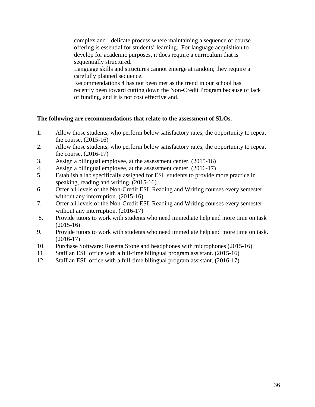complex and delicate process where maintaining a sequence of course offering is essential for students' learning. For language acquisition to develop for academic purposes, it does require a curriculum that is sequentially structured.

 Language skills and structures cannot emerge at random; they require a carefully planned sequence.

Recommendations 4 has not been met as the trend in our school has recently been toward cutting down the Non-Credit Program because of lack of funding, and it is not cost effective and.

### **The following are recommendations that relate to the assessment of SLOs.**

- 1. Allow those students, who perform below satisfactory rates, the opportunity to repeat the course. (2015-16)
- 2. Allow those students, who perform below satisfactory rates, the opportunity to repeat the course. (2016-17)
- 3. Assign a bilingual employee, at the assessment center. (2015-16)
- 4. Assign a bilingual employee, at the assessment center. (2016-17)
- 5. Establish a lab specifically assigned for ESL students to provide more practice in speaking, reading and writing. (2015-16)
- 6. Offer all levels of the Non-Credit ESL Reading and Writing courses every semester without any interruption. (2015-16)
- 7. Offer all levels of the Non-Credit ESL Reading and Writing courses every semester without any interruption.  $(2016-17)$
- 8. Provide tutors to work with students who need immediate help and more time on task (2015-16)
- 9. Provide tutors to work with students who need immediate help and more time on task. (2016-17)
- 10. Purchase Software: Rosetta Stone and headphones with microphones (2015-16)
- 11. Staff an ESL office with a full-time bilingual program assistant. (2015-16)
- 12. Staff an ESL office with a full-time bilingual program assistant. (2016-17)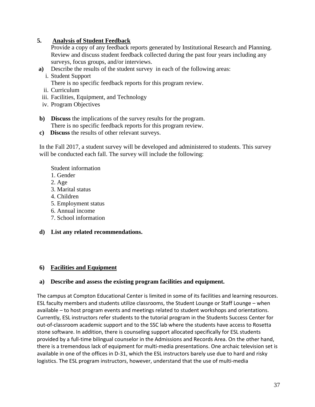# **5. Analysis of Student Feedback**

Provide a copy of any feedback reports generated by Institutional Research and Planning. Review and discuss student feedback collected during the past four years including any surveys, focus groups, and/or interviews.

- **a)** Describe the results of the student survey in each of the following areas:
	- i. Student Support
	- There is no specific feedback reports for this program review.
	- ii. Curriculum
	- iii. Facilities, Equipment, and Technology
	- iv. Program Objectives
- **b) Discuss** the implications of the survey results for the program. There is no specific feedback reports for this program review.
- **c) Discuss** the results of other relevant surveys.

In the Fall 2017, a student survey will be developed and administered to students. This survey will be conducted each fall. The survey will include the following:

Student information

- 1. Gender
- 2. Age
- 3. Marital status
- 4. Children
- 5. Employment status
- 6. Annual income
- 7. School information
- **d) List any related recommendations.**

### **6) Facilities and Equipment**

### **a) Describe and assess the existing program facilities and equipment.**

The campus at Compton Educational Center is limited in some of its facilities and learning resources. ESL faculty members and students utilize classrooms, the Student Lounge or Staff Lounge – when available – to host program events and meetings related to student workshops and orientations. Currently, ESL instructors refer students to the tutorial program in the Students Success Center for out-of-classroom academic support and to the SSC lab where the students have access to Rosetta stone software. In addition, there is counseling support allocated specifically for ESL students provided by a full-time bilingual counselor in the Admissions and Records Area. On the other hand, there is a tremendous lack of equipment for multi-media presentations. One archaic television set is available in one of the offices in D-31, which the ESL instructors barely use due to hard and risky logistics. The ESL program instructors, however, understand that the use of multi-media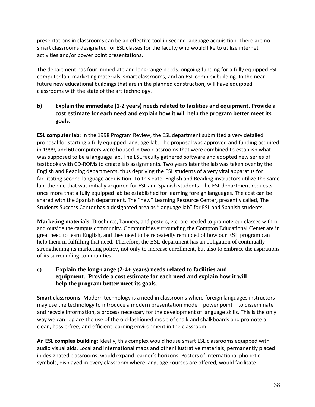presentations in classrooms can be an effective tool in second language acquisition. There are no smart classrooms designated for ESL classes for the faculty who would like to utilize internet activities and/or power point presentations.

The department has four immediate and long-range needs: ongoing funding for a fully equipped ESL computer lab, marketing materials, smart classrooms, and an ESL complex building. In the near future new educational buildings that are in the planned construction, will have equipped classrooms with the state of the art technology.

# **b) Explain the immediate (1-2 years) needs related to facilities and equipment. Provide a cost estimate for each need and explain how it will help the program better meet its goals.**

**ESL computer lab**: In the 1998 Program Review, the ESL department submitted a very detailed proposal for starting a fully equipped language lab. The proposal was approved and funding acquired in 1999, and 60 computers were housed in two classrooms that were combined to establish what was supposed to be a language lab. The ESL faculty gathered software and adopted new series of textbooks with CD-ROMs to create lab assignments. Two years later the lab was taken over by the English and Reading departments, thus depriving the ESL students of a very vital apparatus for facilitating second language acquisition. To this date, English and Reading instructors utilize the same lab, the one that was initially acquired for ESL and Spanish students. The ESL department requests once more that a fully equipped lab be established for learning foreign languages. The cost can be shared with the Spanish department. The "new" Learning Resource Center, presently called, The Students Success Center has a designated area as "language lab" for ESL and Spanish students.

**Marketing materials**: Brochures, banners, and posters, etc. are needed to promote our classes within and outside the campus community. Communities surrounding the Compton Educational Center are in great need to learn English, and they need to be repeatedly reminded of how our ESL program can help them in fulfilling that need. Therefore, the ESL department has an obligation of continually strengthening its marketing policy, not only to increase enrollment, but also to embrace the aspirations of its surrounding communities.

### **c) Explain the long-range (2-4+ years) needs related to facilities and equipment. Provide a cost estimate for each need and explain how it will help the program better meet its goals**.

**Smart classrooms**: Modern technology is a need in classrooms where foreign languages instructors may use the technology to introduce a modern presentation mode – power point – to disseminate and recycle information, a process necessary for the development of language skills. This is the only way we can replace the use of the old-fashioned mode of chalk and chalkboards and promote a clean, hassle-free, and efficient learning environment in the classroom.

**An ESL complex building**: Ideally, this complex would house smart ESL classrooms equipped with audio visual aids. Local and international maps and other illustrative materials, permanently placed in designated classrooms, would expand learner's horizons. Posters of international phonetic symbols, displayed in every classroom where language courses are offered, would facilitate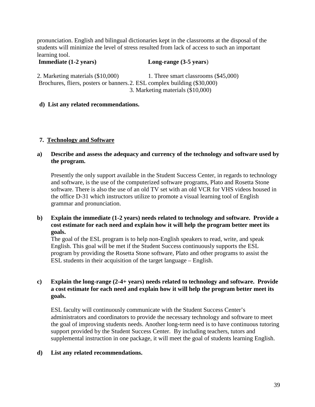pronunciation. English and bilingual dictionaries kept in the classrooms at the disposal of the students will minimize the level of stress resulted from lack of access to such an important learning tool.

#### **Immediate (1-2 years) Long-range (3-5 years**)

2. Marketing materials (\$10,000) 1. Three smart classrooms (\$45,000) Brochures, fliers, posters or banners.2. ESL complex building (\$30,000) 3. Marketing materials (\$10,000)

# **d) List any related recommendations.**

# **7. Technology and Software**

# **a) Describe and assess the adequacy and currency of the technology and software used by the program.**

Presently the only support available in the Student Success Center, in regards to technology and software, is the use of the computerized software programs, Plato and Rosetta Stone software. There is also the use of an old TV set with an old VCR for VHS videos housed in the office D-31 which instructors utilize to promote a visual learning tool of English grammar and pronunciation.

### **b) Explain the immediate (1-2 years) needs related to technology and software. Provide a cost estimate for each need and explain how it will help the program better meet its goals.**

The goal of the ESL program is to help non-English speakers to read, write, and speak English. This goal will be met if the Student Success continuously supports the ESL program by providing the Rosetta Stone software, Plato and other programs to assist the ESL students in their acquisition of the target language – English.

# **c) Explain the long-range (2-4+ years) needs related to technology and software. Provide a cost estimate for each need and explain how it will help the program better meet its goals.**

ESL faculty will continuously communicate with the Student Success Center's administrators and coordinators to provide the necessary technology and software to meet the goal of improving students needs. Another long-term need is to have continuous tutoring support provided by the Student Success Center. By including teachers, tutors and supplemental instruction in one package, it will meet the goal of students learning English.

# **d) List any related recommendations.**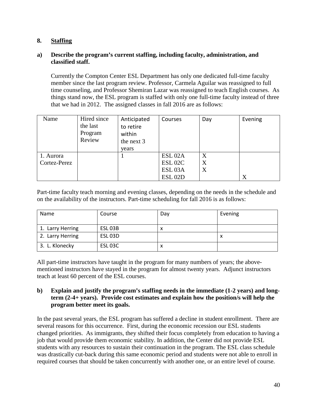# **8. Staffing**

#### **a) Describe the program's current staffing, including faculty, administration, and classified staff.**

Currently the Compton Center ESL Department has only one dedicated full-time faculty member since the last program review. Professor, Carmela Aguilar was reassigned to full time counseling, and Professor Shemiran Lazar was reassigned to teach English courses. As things stand now, the ESL program is staffed with only one full-time faculty instead of three that we had in 2012. The assigned classes in fall 2016 are as follows:

| Name         | Hired since<br>the last<br>Program<br>Review | Anticipated<br>to retire<br>within<br>the next 3<br>years | Courses             | Day | Evening |
|--------------|----------------------------------------------|-----------------------------------------------------------|---------------------|-----|---------|
| 1. Aurora    |                                              |                                                           | ESL <sub>02A</sub>  | X   |         |
| Cortez-Perez |                                              |                                                           | ESL <sub>02C</sub>  | X   |         |
|              |                                              |                                                           | ESL <sub>03</sub> A | X   |         |
|              |                                              |                                                           | <b>ESL 02D</b>      |     | X       |

Part-time faculty teach morning and evening classes, depending on the needs in the schedule and on the availability of the instructors. Part-time scheduling for fall 2016 is as follows:

| Name             | Course             | Day | Evening |
|------------------|--------------------|-----|---------|
| 1. Larry Herring | ESL <sub>03B</sub> | x   |         |
| 2. Larry Herring | <b>ESL 03D</b>     |     | ́       |
| 3. L. Klonecky   | ESL 03C            | x   |         |

All part-time instructors have taught in the program for many numbers of years; the abovementioned instructors have stayed in the program for almost twenty years. Adjunct instructors teach at least 60 percent of the ESL courses.

#### **b) Explain and justify the program's staffing needs in the immediate (1-2 years) and longterm (2-4+ years). Provide cost estimates and explain how the position/s will help the program better meet its goals.**

In the past several years, the ESL program has suffered a decline in student enrollment. There are several reasons for this occurrence. First, during the economic recession our ESL students changed priorities. As immigrants, they shifted their focus completely from education to having a job that would provide them economic stability. In addition, the Center did not provide ESL students with any resources to sustain their continuation in the program. The ESL class schedule was drastically cut-back during this same economic period and students were not able to enroll in required courses that should be taken concurrently with another one, or an entire level of course.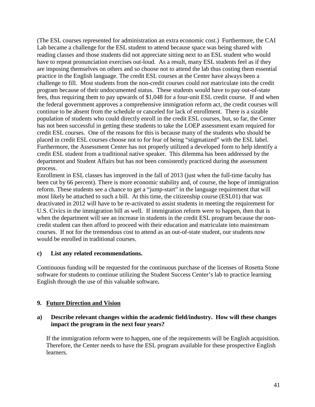(The ESL courses represented for administration an extra economic cost.) Furthermore, the CAI Lab became a challenge for the ESL student to attend because space was being shared with reading classes and those students did not appreciate sitting next to an ESL student who would have to repeat pronunciation exercises out-loud. As a result, many ESL students feel as if they are imposing themselves on others and so choose not to attend the lab thus costing them essential practice in the English language. The credit ESL courses at the Center have always been a challenge to fill. Most students from the non-credit courses could not matriculate into the credit program because of their undocumented status. These students would have to pay out-of-state fees, thus requiring them to pay upwards of \$1,048 for a four-unit ESL credit course. If and when the federal government approves a comprehensive immigration reform act, the credit courses will continue to be absent from the schedule or canceled for lack of enrollment. There is a sizable population of students who could directly enroll in the credit ESL courses, but, so far, the Center has not been successful in getting these students to take the LOEP assessment exam required for credit ESL courses. One of the reasons for this is because many of the students who should be placed in credit ESL courses choose not to for fear of being "stigmatized" with the ESL label. Furthermore, the Assessment Center has not properly utilized a developed form to help identify a credit ESL student from a traditional native speaker. This dilemma has been addressed by the department and Student Affairs but has not been consistently practiced during the assessment process.

Enrollment in ESL classes has improved in the fall of 2013 (just when the full-time faculty has been cut by 66 percent). There is more economic stability and, of course, the hope of immigration reform. These students see a chance to get a "jump-start" in the language requirement that will most likely be attached to such a bill. At this time, the citizenship course (ESL01) that was deactivated in 2012 will have to be re-activated to assist students in meeting the requirement for U.S. Civics in the immigration bill as well. If immigration reform were to happen, then that is when the department will see an increase in students in the credit ESL program because the noncredit student can then afford to proceed with their education and matriculate into mainstream courses. If not for the tremendous cost to attend as an out-of-state student, our students now would be enrolled in traditional courses.

### **c) List any related recommendations.**

Continuous funding will be requested for the continuous purchase of the licenses of Rosetta Stone software for students to continue utilizing the Student Success Center's lab to practice learning English through the use of this valuable software**.**

# **9. Future Direction and Vision**

# **a) Describe relevant changes within the academic field/industry. How will these changes impact the program in the next four years?**

If the immigration reform were to happen, one of the requirements will be English acquisition. Therefore, the Center needs to have the ESL program available for these prospective English learners.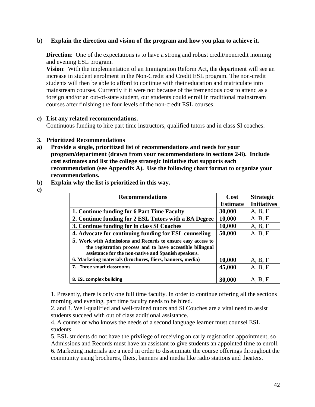#### **b) Explain the direction and vision of the program and how you plan to achieve it.**

**Direction**: One of the expectations is to have a strong and robust credit/noncredit morning and evening ESL program.

**Vision**: With the implementation of an Immigration Reform Act, the department will see an increase in student enrolment in the Non-Credit and Credit ESL program. The non-credit students will then be able to afford to continue with their education and matriculate into mainstream courses. Currently if it were not because of the tremendous cost to attend as a foreign and/or an out-of-state student, our students could enroll in traditional mainstream courses after finishing the four levels of the non-credit ESL courses.

#### **c) List any related recommendations.**

Continuous funding to hire part time instructors, qualified tutors and in class SI coaches.

#### **3. Prioritized Recommendations**

- **a) Provide a single, prioritized list of recommendations and needs for your program/department (drawn from your recommendations in sections 2-8). Include cost estimates and list the college strategic initiative that supports each recommendation (see Appendix A). Use the following chart format to organize your recommendations.**
- **b) Explain why the list is prioritized in this way.**
- **c)**

| <b>Recommendations</b>                                                                                                                                                           | Cost            | <b>Strategic</b>   |
|----------------------------------------------------------------------------------------------------------------------------------------------------------------------------------|-----------------|--------------------|
|                                                                                                                                                                                  | <b>Estimate</b> | <b>Initiatives</b> |
| 1. Continue funding for 6 Part Time Faculty                                                                                                                                      | 30,000          | A, B, F            |
| 2. Continue funding for 2 ESL Tutors with a BA Degree                                                                                                                            | 10,000          | A, B, F            |
| 3. Continue funding for in class SI Coaches                                                                                                                                      | 10,000          | A, B, F            |
| 4. Advocate for continuing funding for ESL counseling                                                                                                                            | 50,000          | A, B, F            |
| 5. Work with Admissions and Records to ensure easy access to<br>the registration process and to have accessible bilingual<br>assistance for the non-native and Spanish speakers. |                 |                    |
| 6. Marketing materials (brochures, fliers, banners, media)                                                                                                                       | 10,000          | A, B, F            |
| 7. Three smart classrooms                                                                                                                                                        | 45,000          | A, B, F            |
| 8. ESL complex building                                                                                                                                                          | 30,000          | A, B, F            |

1. Presently, there is only one full time faculty. In order to continue offering all the sections morning and evening, part time faculty needs to be hired.

2. and 3. Well-qualified and well-trained tutors and SI Couches are a vital need to assist students succeed with out of class additional assistance.

4. A counselor who knows the needs of a second language learner must counsel ESL students.

5. ESL students do not have the privilege of receiving an early registration appointment, so Admissions and Records must have an assistant to give students an appointed time to enroll. 6. Marketing materials are a need in order to disseminate the course offerings throughout the

community using brochures, fliers, banners and media like radio stations and theaters.